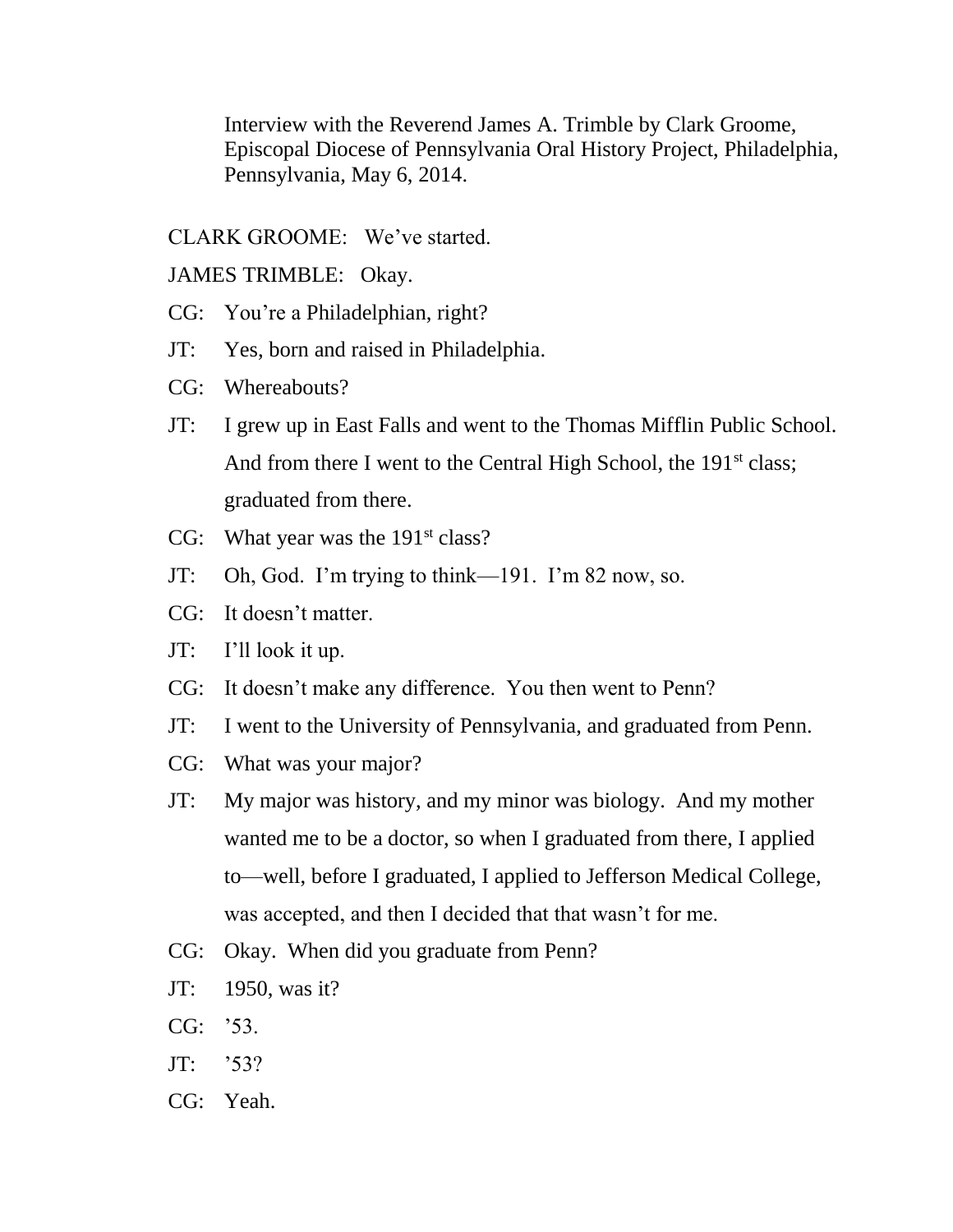Interview with the Reverend James A. Trimble by Clark Groome, Episcopal Diocese of Pennsylvania Oral History Project, Philadelphia, Pennsylvania, May 6, 2014.

CLARK GROOME: We've started.

JAMES TRIMBLE: Okay.

- CG: You're a Philadelphian, right?
- JT: Yes, born and raised in Philadelphia.
- CG: Whereabouts?
- JT: I grew up in East Falls and went to the Thomas Mifflin Public School. And from there I went to the Central High School, the 191<sup>st</sup> class; graduated from there.
- CG: What year was the  $191<sup>st</sup> class?$
- JT: Oh, God. I'm trying to think—191. I'm 82 now, so.
- CG: It doesn't matter.
- JT: I'll look it up.
- CG: It doesn't make any difference. You then went to Penn?
- JT: I went to the University of Pennsylvania, and graduated from Penn.
- CG: What was your major?
- JT: My major was history, and my minor was biology. And my mother wanted me to be a doctor, so when I graduated from there, I applied to—well, before I graduated, I applied to Jefferson Medical College, was accepted, and then I decided that that wasn't for me.
- CG: Okay. When did you graduate from Penn?
- JT: 1950, was it?
- CG: '53.
- JT: '53?
- CG: Yeah.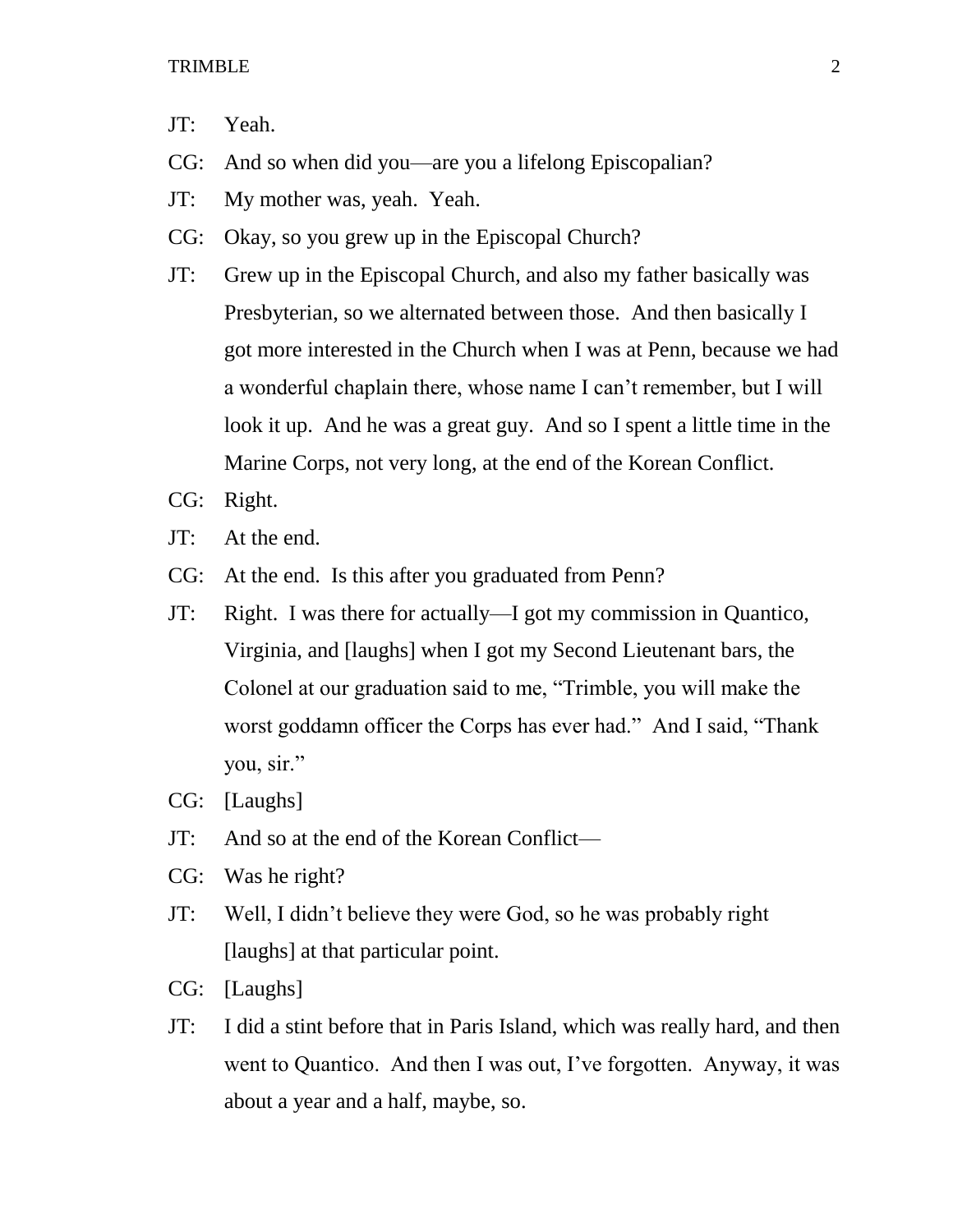- JT: Yeah.
- CG: And so when did you—are you a lifelong Episcopalian?
- JT: My mother was, yeah. Yeah.
- CG: Okay, so you grew up in the Episcopal Church?
- JT: Grew up in the Episcopal Church, and also my father basically was Presbyterian, so we alternated between those. And then basically I got more interested in the Church when I was at Penn, because we had a wonderful chaplain there, whose name I can't remember, but I will look it up. And he was a great guy. And so I spent a little time in the Marine Corps, not very long, at the end of the Korean Conflict.
- CG: Right.
- JT: At the end.
- CG: At the end. Is this after you graduated from Penn?
- JT: Right. I was there for actually—I got my commission in Quantico, Virginia, and [laughs] when I got my Second Lieutenant bars, the Colonel at our graduation said to me, "Trimble, you will make the worst goddamn officer the Corps has ever had." And I said, "Thank you, sir."
- CG: [Laughs]
- JT: And so at the end of the Korean Conflict—
- CG: Was he right?
- JT: Well, I didn't believe they were God, so he was probably right [laughs] at that particular point.
- CG: [Laughs]
- JT: I did a stint before that in Paris Island, which was really hard, and then went to Quantico. And then I was out, I've forgotten. Anyway, it was about a year and a half, maybe, so.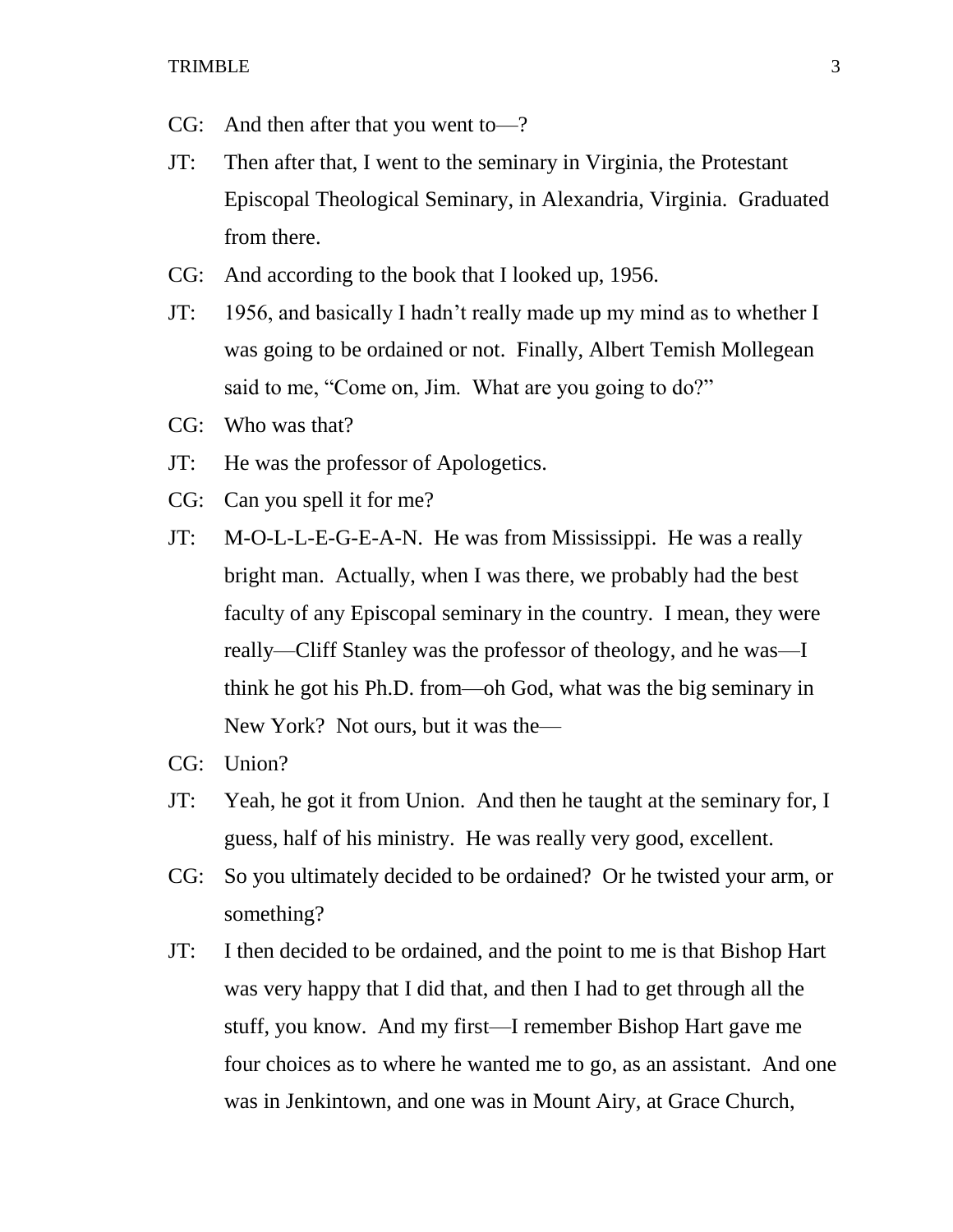- CG: And then after that you went to—?
- JT: Then after that, I went to the seminary in Virginia, the Protestant Episcopal Theological Seminary, in Alexandria, Virginia. Graduated from there.
- CG: And according to the book that I looked up, 1956.
- JT: 1956, and basically I hadn't really made up my mind as to whether I was going to be ordained or not. Finally, Albert Temish Mollegean said to me, "Come on, Jim. What are you going to do?"
- CG: Who was that?
- JT: He was the professor of Apologetics.
- CG: Can you spell it for me?
- JT: M-O-L-L-E-G-E-A-N. He was from Mississippi. He was a really bright man. Actually, when I was there, we probably had the best faculty of any Episcopal seminary in the country. I mean, they were really—Cliff Stanley was the professor of theology, and he was—I think he got his Ph.D. from—oh God, what was the big seminary in New York? Not ours, but it was the—
- CG: Union?
- JT: Yeah, he got it from Union. And then he taught at the seminary for, I guess, half of his ministry. He was really very good, excellent.
- CG: So you ultimately decided to be ordained? Or he twisted your arm, or something?
- JT: I then decided to be ordained, and the point to me is that Bishop Hart was very happy that I did that, and then I had to get through all the stuff, you know. And my first—I remember Bishop Hart gave me four choices as to where he wanted me to go, as an assistant. And one was in Jenkintown, and one was in Mount Airy, at Grace Church,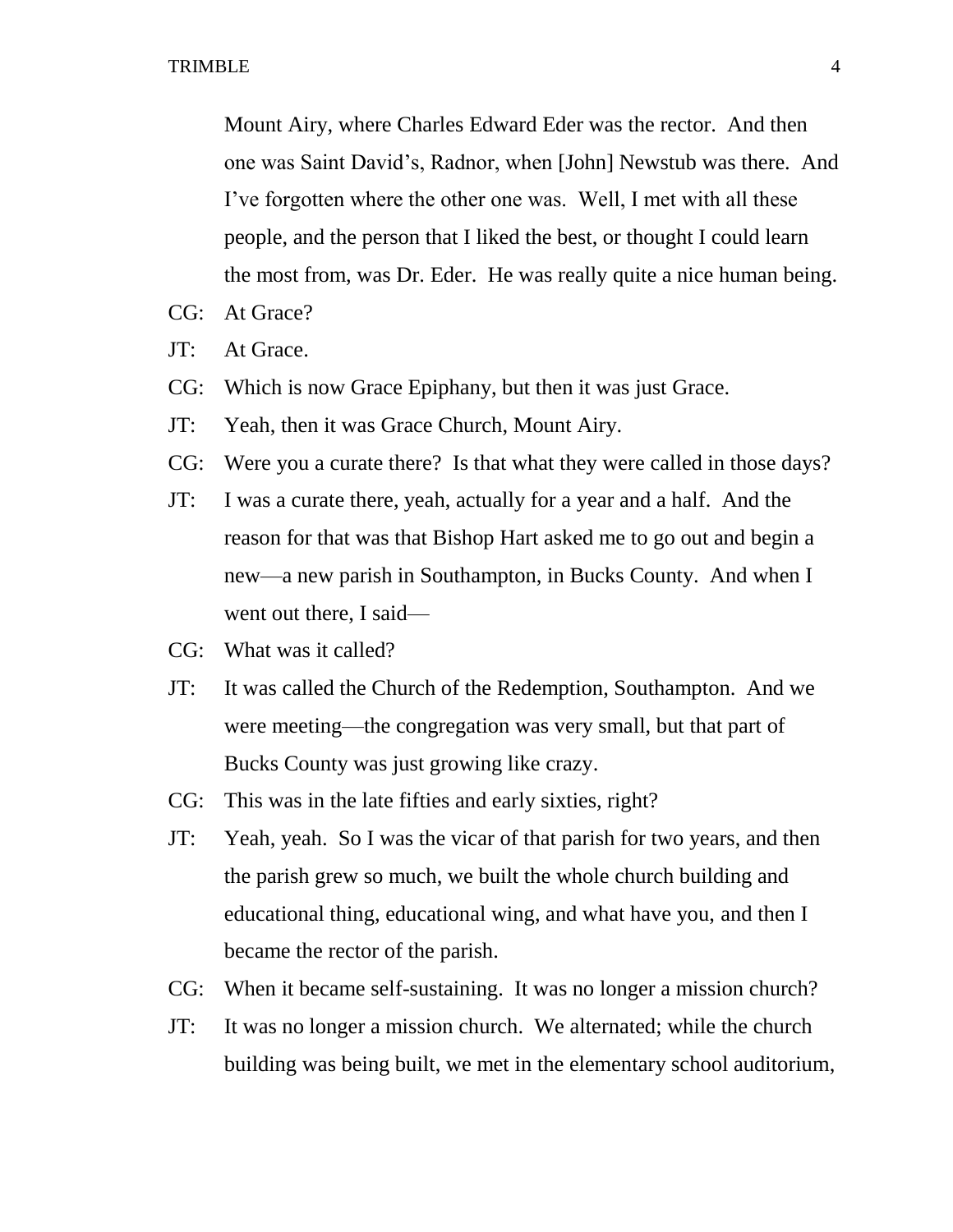Mount Airy, where Charles Edward Eder was the rector. And then one was Saint David's, Radnor, when [John] Newstub was there. And I've forgotten where the other one was. Well, I met with all these people, and the person that I liked the best, or thought I could learn the most from, was Dr. Eder. He was really quite a nice human being.

- CG: At Grace?
- JT: At Grace.
- CG: Which is now Grace Epiphany, but then it was just Grace.
- JT: Yeah, then it was Grace Church, Mount Airy.
- CG: Were you a curate there? Is that what they were called in those days?
- JT: I was a curate there, yeah, actually for a year and a half. And the reason for that was that Bishop Hart asked me to go out and begin a new—a new parish in Southampton, in Bucks County. And when I went out there, I said—
- CG: What was it called?
- JT: It was called the Church of the Redemption, Southampton. And we were meeting—the congregation was very small, but that part of Bucks County was just growing like crazy.
- CG: This was in the late fifties and early sixties, right?
- JT: Yeah, yeah. So I was the vicar of that parish for two years, and then the parish grew so much, we built the whole church building and educational thing, educational wing, and what have you, and then I became the rector of the parish.
- CG: When it became self-sustaining. It was no longer a mission church?
- JT: It was no longer a mission church. We alternated; while the church building was being built, we met in the elementary school auditorium,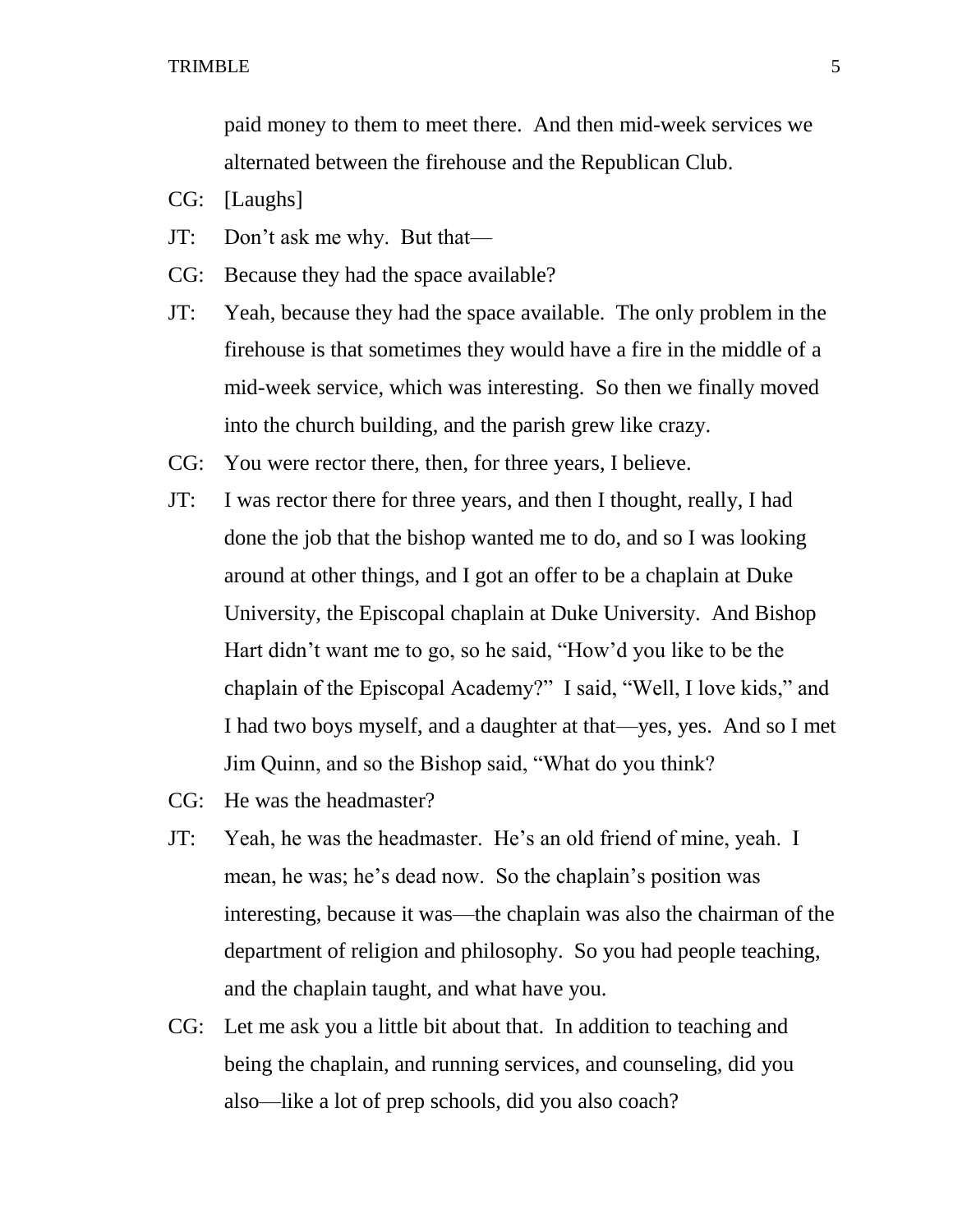paid money to them to meet there. And then mid-week services we alternated between the firehouse and the Republican Club.

- CG: [Laughs]
- JT: Don't ask me why. But that—
- CG: Because they had the space available?
- JT: Yeah, because they had the space available. The only problem in the firehouse is that sometimes they would have a fire in the middle of a mid-week service, which was interesting. So then we finally moved into the church building, and the parish grew like crazy.
- CG: You were rector there, then, for three years, I believe.
- JT: I was rector there for three years, and then I thought, really, I had done the job that the bishop wanted me to do, and so I was looking around at other things, and I got an offer to be a chaplain at Duke University, the Episcopal chaplain at Duke University. And Bishop Hart didn't want me to go, so he said, "How'd you like to be the chaplain of the Episcopal Academy?" I said, "Well, I love kids," and I had two boys myself, and a daughter at that—yes, yes. And so I met Jim Quinn, and so the Bishop said, "What do you think?
- CG: He was the headmaster?
- JT: Yeah, he was the headmaster. He's an old friend of mine, yeah. I mean, he was; he's dead now. So the chaplain's position was interesting, because it was—the chaplain was also the chairman of the department of religion and philosophy. So you had people teaching, and the chaplain taught, and what have you.
- CG: Let me ask you a little bit about that. In addition to teaching and being the chaplain, and running services, and counseling, did you also—like a lot of prep schools, did you also coach?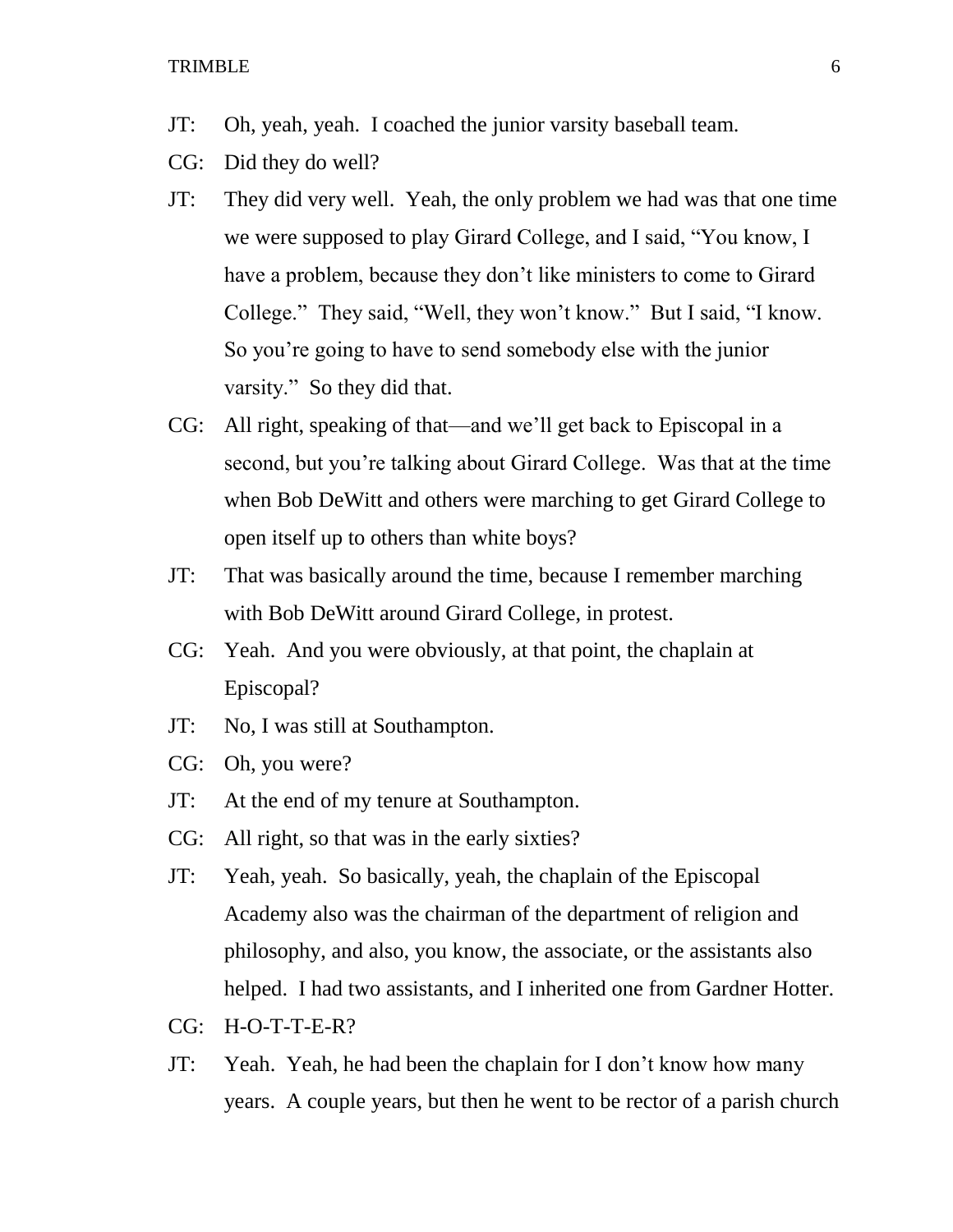- JT: Oh, yeah, yeah. I coached the junior varsity baseball team.
- CG: Did they do well?
- JT: They did very well. Yeah, the only problem we had was that one time we were supposed to play Girard College, and I said, "You know, I have a problem, because they don't like ministers to come to Girard College." They said, "Well, they won't know." But I said, "I know. So you're going to have to send somebody else with the junior varsity." So they did that.
- CG: All right, speaking of that—and we'll get back to Episcopal in a second, but you're talking about Girard College. Was that at the time when Bob DeWitt and others were marching to get Girard College to open itself up to others than white boys?
- JT: That was basically around the time, because I remember marching with Bob DeWitt around Girard College, in protest.
- CG: Yeah. And you were obviously, at that point, the chaplain at Episcopal?
- JT: No, I was still at Southampton.
- CG: Oh, you were?
- JT: At the end of my tenure at Southampton.
- CG: All right, so that was in the early sixties?
- JT: Yeah, yeah. So basically, yeah, the chaplain of the Episcopal Academy also was the chairman of the department of religion and philosophy, and also, you know, the associate, or the assistants also helped. I had two assistants, and I inherited one from Gardner Hotter.
- CG: H-O-T-T-E-R?
- JT: Yeah. Yeah, he had been the chaplain for I don't know how many years. A couple years, but then he went to be rector of a parish church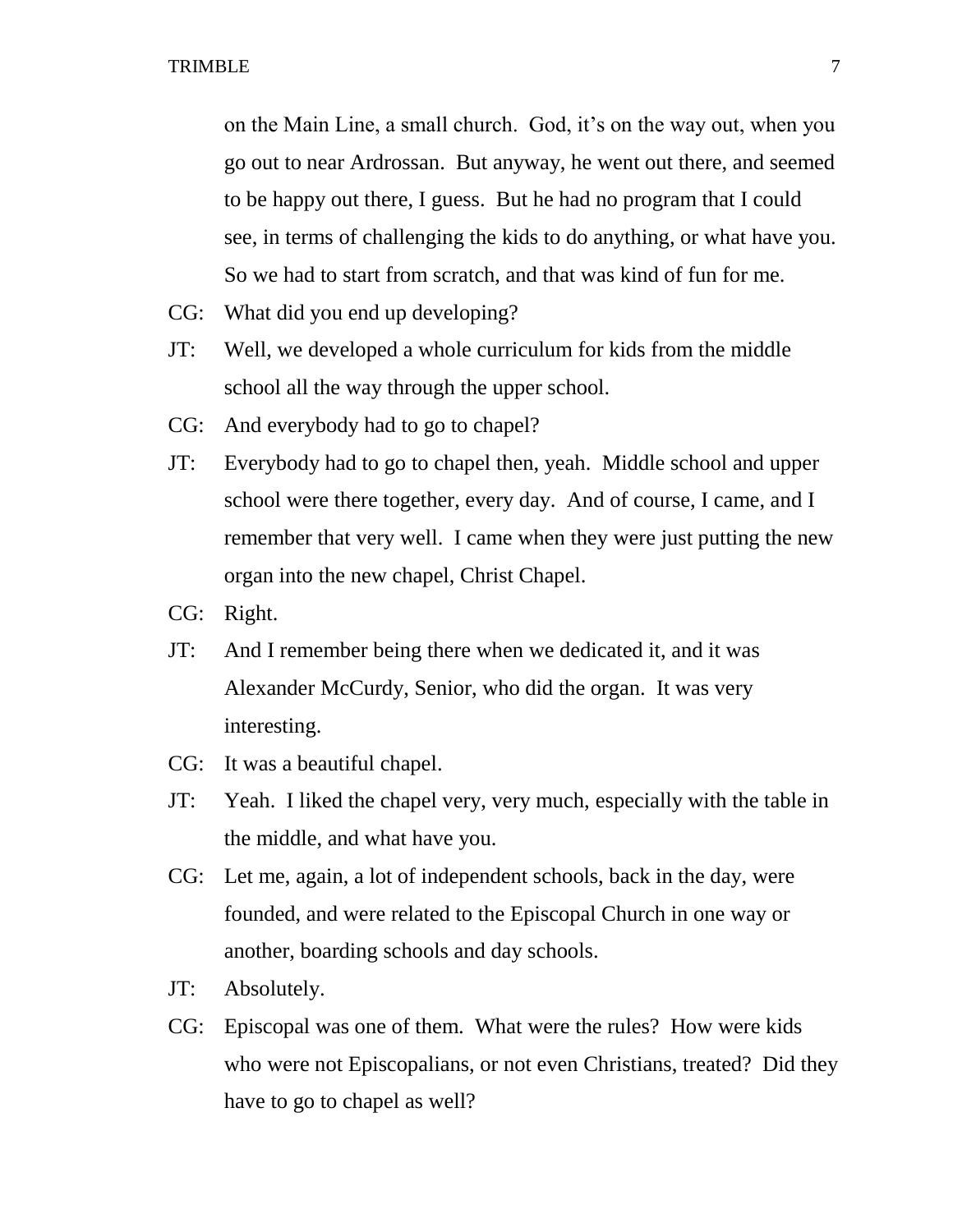on the Main Line, a small church. God, it's on the way out, when you go out to near Ardrossan. But anyway, he went out there, and seemed to be happy out there, I guess. But he had no program that I could see, in terms of challenging the kids to do anything, or what have you. So we had to start from scratch, and that was kind of fun for me.

- CG: What did you end up developing?
- JT: Well, we developed a whole curriculum for kids from the middle school all the way through the upper school.
- CG: And everybody had to go to chapel?
- JT: Everybody had to go to chapel then, yeah. Middle school and upper school were there together, every day. And of course, I came, and I remember that very well. I came when they were just putting the new organ into the new chapel, Christ Chapel.
- CG: Right.
- JT: And I remember being there when we dedicated it, and it was Alexander McCurdy, Senior, who did the organ. It was very interesting.
- CG: It was a beautiful chapel.
- JT: Yeah. I liked the chapel very, very much, especially with the table in the middle, and what have you.
- CG: Let me, again, a lot of independent schools, back in the day, were founded, and were related to the Episcopal Church in one way or another, boarding schools and day schools.
- JT: Absolutely.
- CG: Episcopal was one of them. What were the rules? How were kids who were not Episcopalians, or not even Christians, treated? Did they have to go to chapel as well?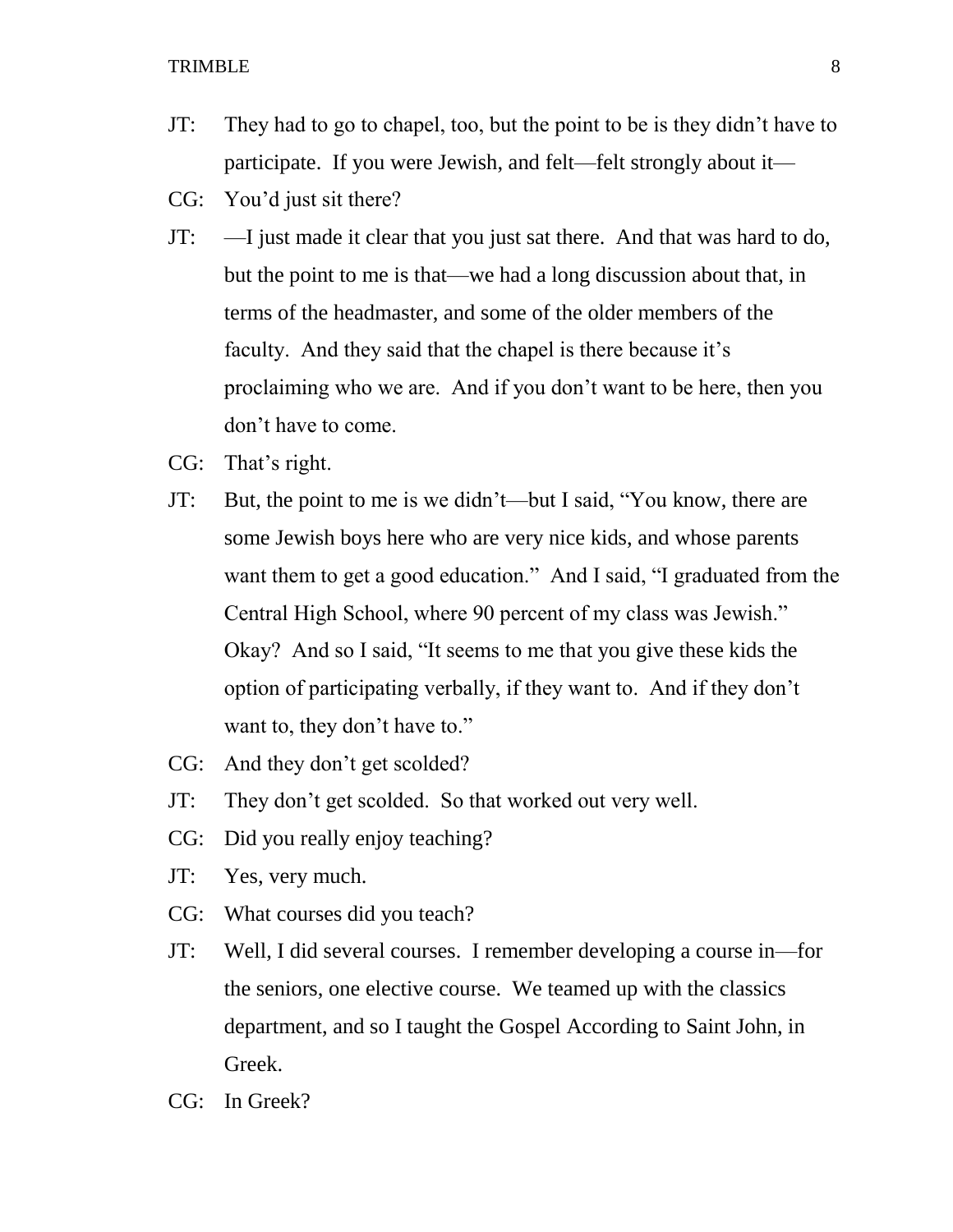- JT: They had to go to chapel, too, but the point to be is they didn't have to participate. If you were Jewish, and felt—felt strongly about it—
- CG: You'd just sit there?
- JT: —I just made it clear that you just sat there. And that was hard to do, but the point to me is that—we had a long discussion about that, in terms of the headmaster, and some of the older members of the faculty. And they said that the chapel is there because it's proclaiming who we are. And if you don't want to be here, then you don't have to come.
- CG: That's right.
- JT: But, the point to me is we didn't—but I said, "You know, there are some Jewish boys here who are very nice kids, and whose parents want them to get a good education." And I said, "I graduated from the Central High School, where 90 percent of my class was Jewish." Okay? And so I said, "It seems to me that you give these kids the option of participating verbally, if they want to. And if they don't want to, they don't have to."
- CG: And they don't get scolded?
- JT: They don't get scolded. So that worked out very well.
- CG: Did you really enjoy teaching?
- JT: Yes, very much.
- CG: What courses did you teach?
- JT: Well, I did several courses. I remember developing a course in—for the seniors, one elective course. We teamed up with the classics department, and so I taught the Gospel According to Saint John, in Greek.
- CG: In Greek?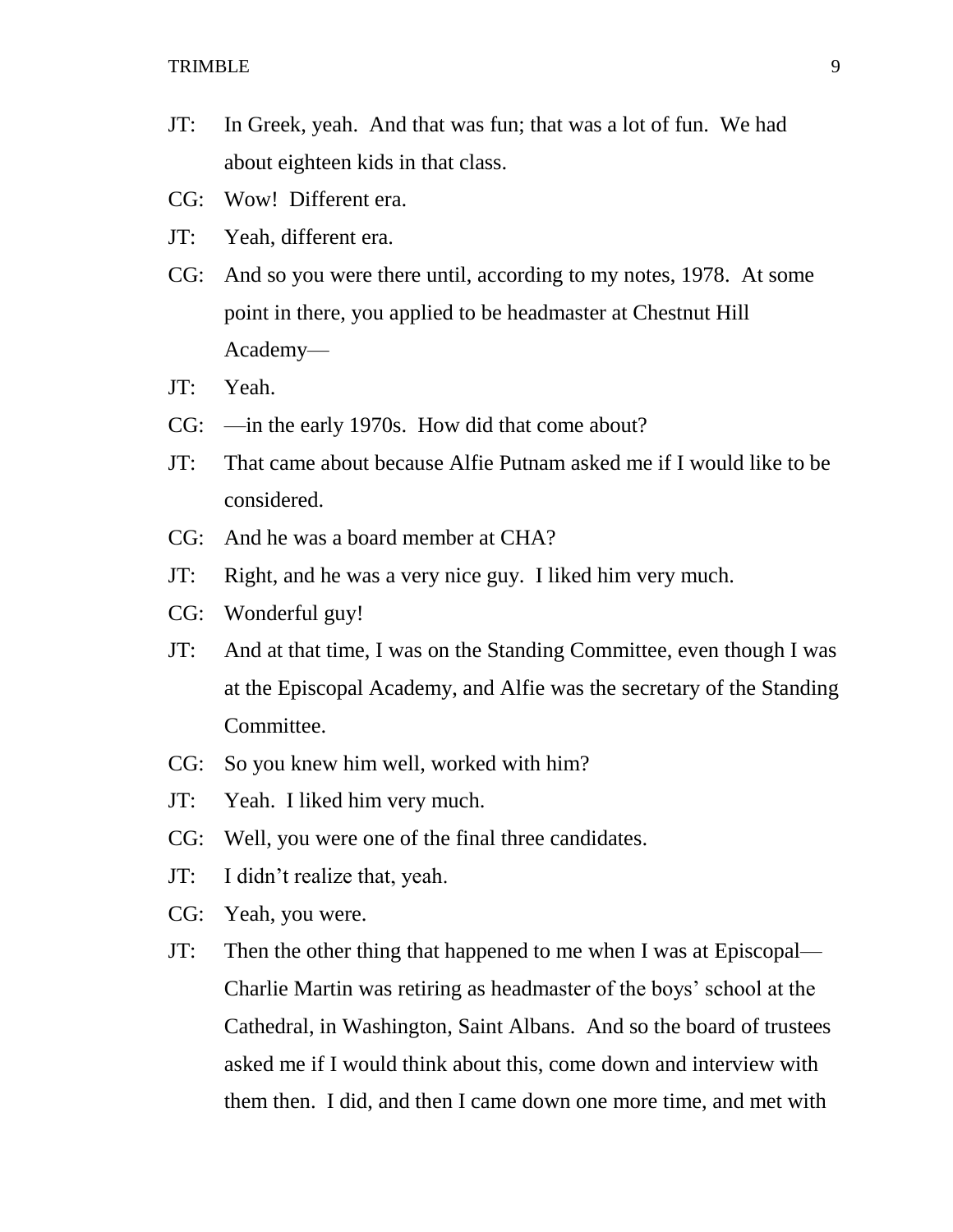- JT: In Greek, yeah. And that was fun; that was a lot of fun. We had about eighteen kids in that class.
- CG: Wow! Different era.
- JT: Yeah, different era.
- CG: And so you were there until, according to my notes, 1978. At some point in there, you applied to be headmaster at Chestnut Hill Academy—
- JT: Yeah.
- CG: —in the early 1970s. How did that come about?
- JT: That came about because Alfie Putnam asked me if I would like to be considered.
- CG: And he was a board member at CHA?
- JT: Right, and he was a very nice guy. I liked him very much.
- CG: Wonderful guy!
- JT: And at that time, I was on the Standing Committee, even though I was at the Episcopal Academy, and Alfie was the secretary of the Standing Committee.
- CG: So you knew him well, worked with him?
- JT: Yeah. I liked him very much.
- CG: Well, you were one of the final three candidates.
- JT: I didn't realize that, yeah.
- CG: Yeah, you were.
- JT: Then the other thing that happened to me when I was at Episcopal— Charlie Martin was retiring as headmaster of the boys' school at the Cathedral, in Washington, Saint Albans. And so the board of trustees asked me if I would think about this, come down and interview with them then. I did, and then I came down one more time, and met with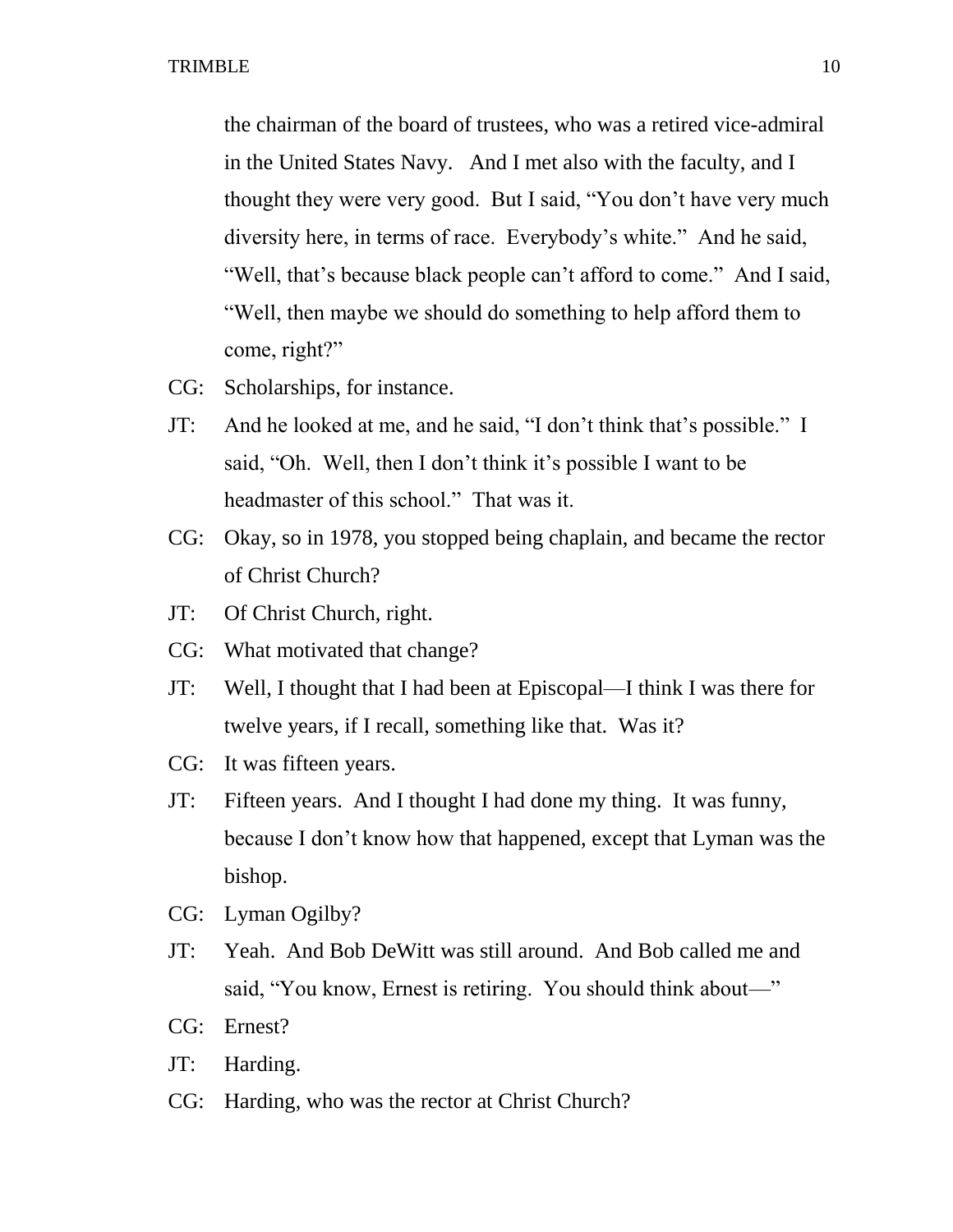the chairman of the board of trustees, who was a retired vice-admiral in the United States Navy. And I met also with the faculty, and I thought they were very good. But I said, "You don't have very much diversity here, in terms of race. Everybody's white." And he said, "Well, that's because black people can't afford to come." And I said, "Well, then maybe we should do something to help afford them to come, right?"

- CG: Scholarships, for instance.
- JT: And he looked at me, and he said, "I don't think that's possible." I said, "Oh. Well, then I don't think it's possible I want to be headmaster of this school." That was it.
- CG: Okay, so in 1978, you stopped being chaplain, and became the rector of Christ Church?
- JT: Of Christ Church, right.
- CG: What motivated that change?
- JT: Well, I thought that I had been at Episcopal—I think I was there for twelve years, if I recall, something like that. Was it?
- CG: It was fifteen years.
- JT: Fifteen years. And I thought I had done my thing. It was funny, because I don't know how that happened, except that Lyman was the bishop.
- CG: Lyman Ogilby?
- JT: Yeah. And Bob DeWitt was still around. And Bob called me and said, "You know, Ernest is retiring. You should think about—"
- CG: Ernest?
- JT: Harding.
- CG: Harding, who was the rector at Christ Church?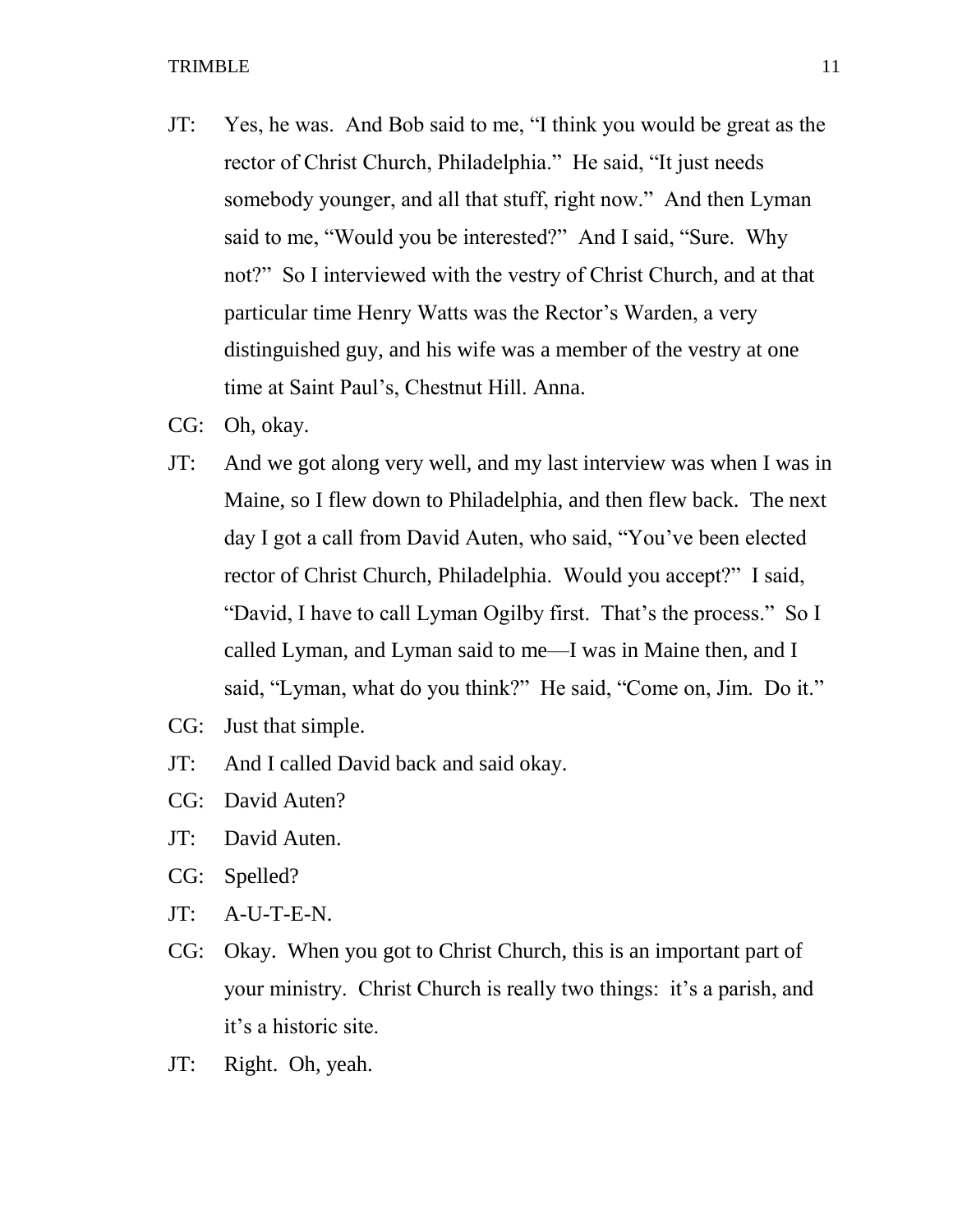- JT: Yes, he was. And Bob said to me, "I think you would be great as the rector of Christ Church, Philadelphia." He said, "It just needs somebody younger, and all that stuff, right now." And then Lyman said to me, "Would you be interested?" And I said, "Sure. Why not?" So I interviewed with the vestry of Christ Church, and at that particular time Henry Watts was the Rector's Warden, a very distinguished guy, and his wife was a member of the vestry at one time at Saint Paul's, Chestnut Hill. Anna.
- CG: Oh, okay.
- JT: And we got along very well, and my last interview was when I was in Maine, so I flew down to Philadelphia, and then flew back. The next day I got a call from David Auten, who said, "You've been elected rector of Christ Church, Philadelphia. Would you accept?" I said, "David, I have to call Lyman Ogilby first. That's the process." So I called Lyman, and Lyman said to me—I was in Maine then, and I said, "Lyman, what do you think?" He said, "Come on, Jim. Do it."
- CG: Just that simple.
- JT: And I called David back and said okay.
- CG: David Auten?
- JT: David Auten.
- CG: Spelled?
- JT: A-U-T-E-N.
- CG: Okay. When you got to Christ Church, this is an important part of your ministry. Christ Church is really two things: it's a parish, and it's a historic site.
- JT: Right. Oh, yeah.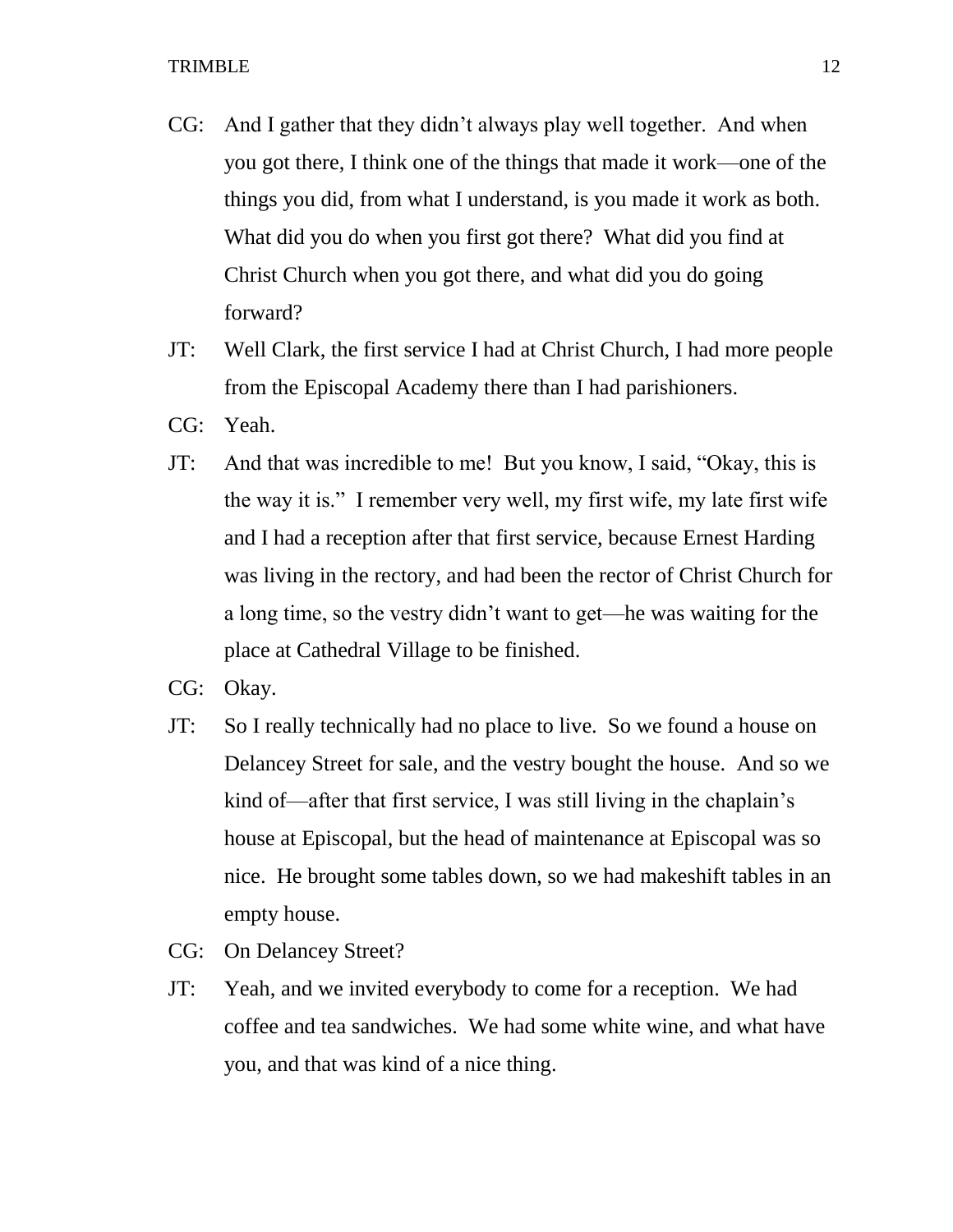- CG: And I gather that they didn't always play well together. And when you got there, I think one of the things that made it work—one of the things you did, from what I understand, is you made it work as both. What did you do when you first got there? What did you find at Christ Church when you got there, and what did you do going forward?
- JT: Well Clark, the first service I had at Christ Church, I had more people from the Episcopal Academy there than I had parishioners.
- CG: Yeah.
- JT: And that was incredible to me! But you know, I said, "Okay, this is the way it is." I remember very well, my first wife, my late first wife and I had a reception after that first service, because Ernest Harding was living in the rectory, and had been the rector of Christ Church for a long time, so the vestry didn't want to get—he was waiting for the place at Cathedral Village to be finished.
- CG: Okay.
- JT: So I really technically had no place to live. So we found a house on Delancey Street for sale, and the vestry bought the house. And so we kind of—after that first service, I was still living in the chaplain's house at Episcopal, but the head of maintenance at Episcopal was so nice. He brought some tables down, so we had makeshift tables in an empty house.
- CG: On Delancey Street?
- JT: Yeah, and we invited everybody to come for a reception. We had coffee and tea sandwiches. We had some white wine, and what have you, and that was kind of a nice thing.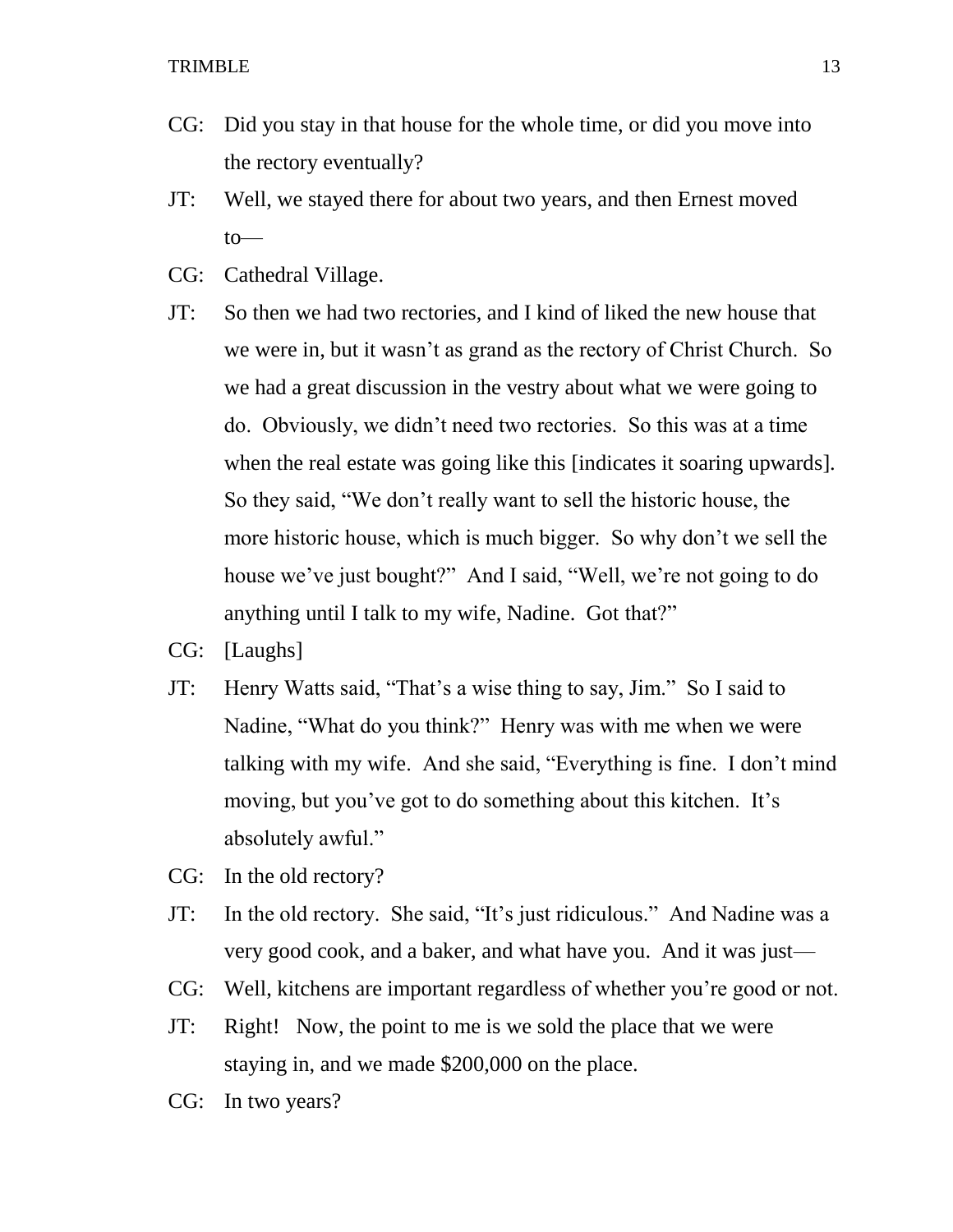- CG: Did you stay in that house for the whole time, or did you move into the rectory eventually?
- JT: Well, we stayed there for about two years, and then Ernest moved to—
- CG: Cathedral Village.
- JT: So then we had two rectories, and I kind of liked the new house that we were in, but it wasn't as grand as the rectory of Christ Church. So we had a great discussion in the vestry about what we were going to do. Obviously, we didn't need two rectories. So this was at a time when the real estate was going like this [indicates it soaring upwards]. So they said, "We don't really want to sell the historic house, the more historic house, which is much bigger. So why don't we sell the house we've just bought?" And I said, "Well, we're not going to do anything until I talk to my wife, Nadine. Got that?"
- CG: [Laughs]
- JT: Henry Watts said, "That's a wise thing to say, Jim." So I said to Nadine, "What do you think?" Henry was with me when we were talking with my wife. And she said, "Everything is fine. I don't mind moving, but you've got to do something about this kitchen. It's absolutely awful."
- CG: In the old rectory?
- JT: In the old rectory. She said, "It's just ridiculous." And Nadine was a very good cook, and a baker, and what have you. And it was just—
- CG: Well, kitchens are important regardless of whether you're good or not.
- JT: Right! Now, the point to me is we sold the place that we were staying in, and we made \$200,000 on the place.
- CG: In two years?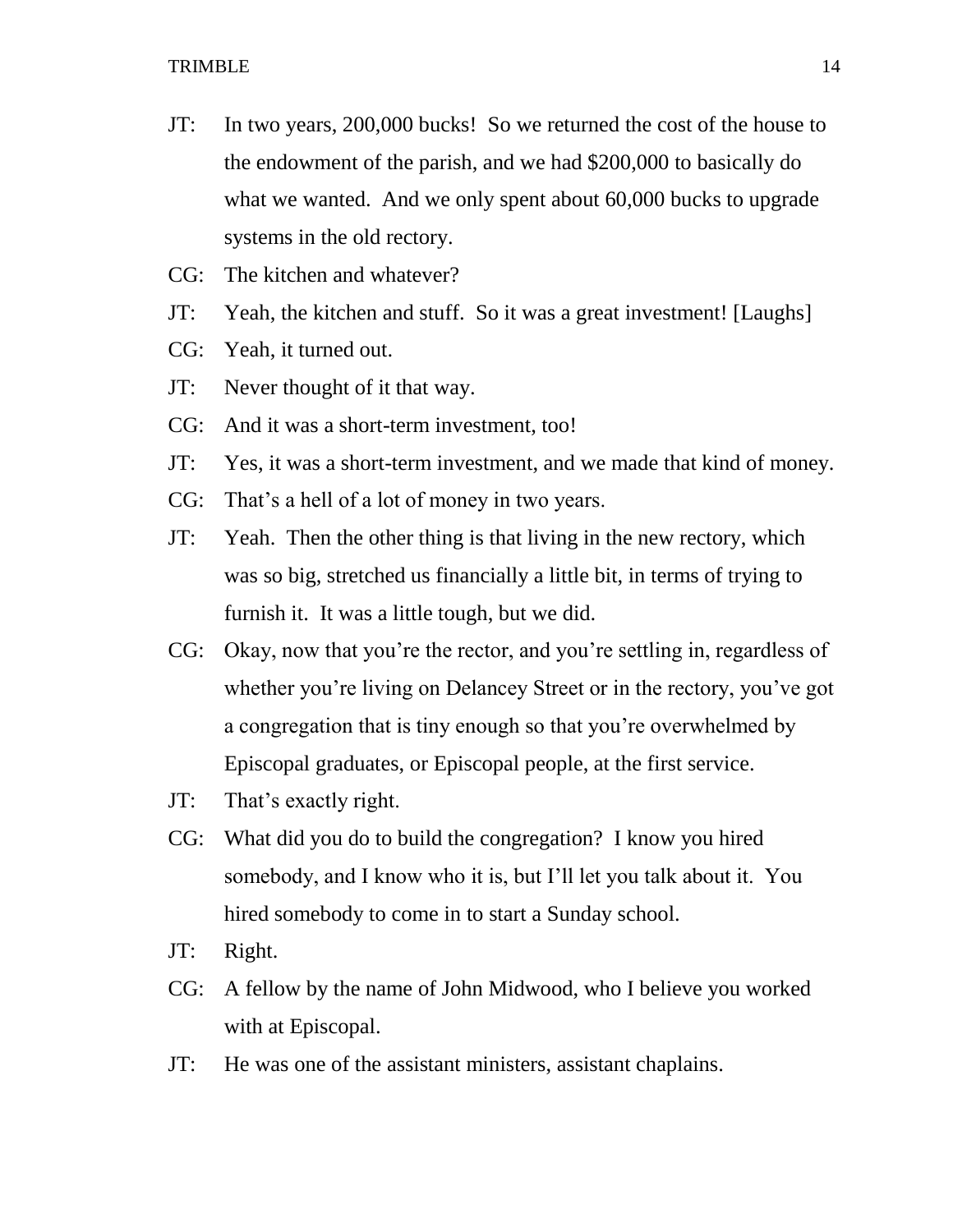- JT: In two years, 200,000 bucks! So we returned the cost of the house to the endowment of the parish, and we had \$200,000 to basically do what we wanted. And we only spent about 60,000 bucks to upgrade systems in the old rectory.
- CG: The kitchen and whatever?
- JT: Yeah, the kitchen and stuff. So it was a great investment! [Laughs]
- CG: Yeah, it turned out.
- JT: Never thought of it that way.
- CG: And it was a short-term investment, too!
- JT: Yes, it was a short-term investment, and we made that kind of money.
- CG: That's a hell of a lot of money in two years.
- JT: Yeah. Then the other thing is that living in the new rectory, which was so big, stretched us financially a little bit, in terms of trying to furnish it. It was a little tough, but we did.
- CG: Okay, now that you're the rector, and you're settling in, regardless of whether you're living on Delancey Street or in the rectory, you've got a congregation that is tiny enough so that you're overwhelmed by Episcopal graduates, or Episcopal people, at the first service.
- JT: That's exactly right.
- CG: What did you do to build the congregation? I know you hired somebody, and I know who it is, but I'll let you talk about it. You hired somebody to come in to start a Sunday school.
- JT: Right.
- CG: A fellow by the name of John Midwood, who I believe you worked with at Episcopal.
- JT: He was one of the assistant ministers, assistant chaplains.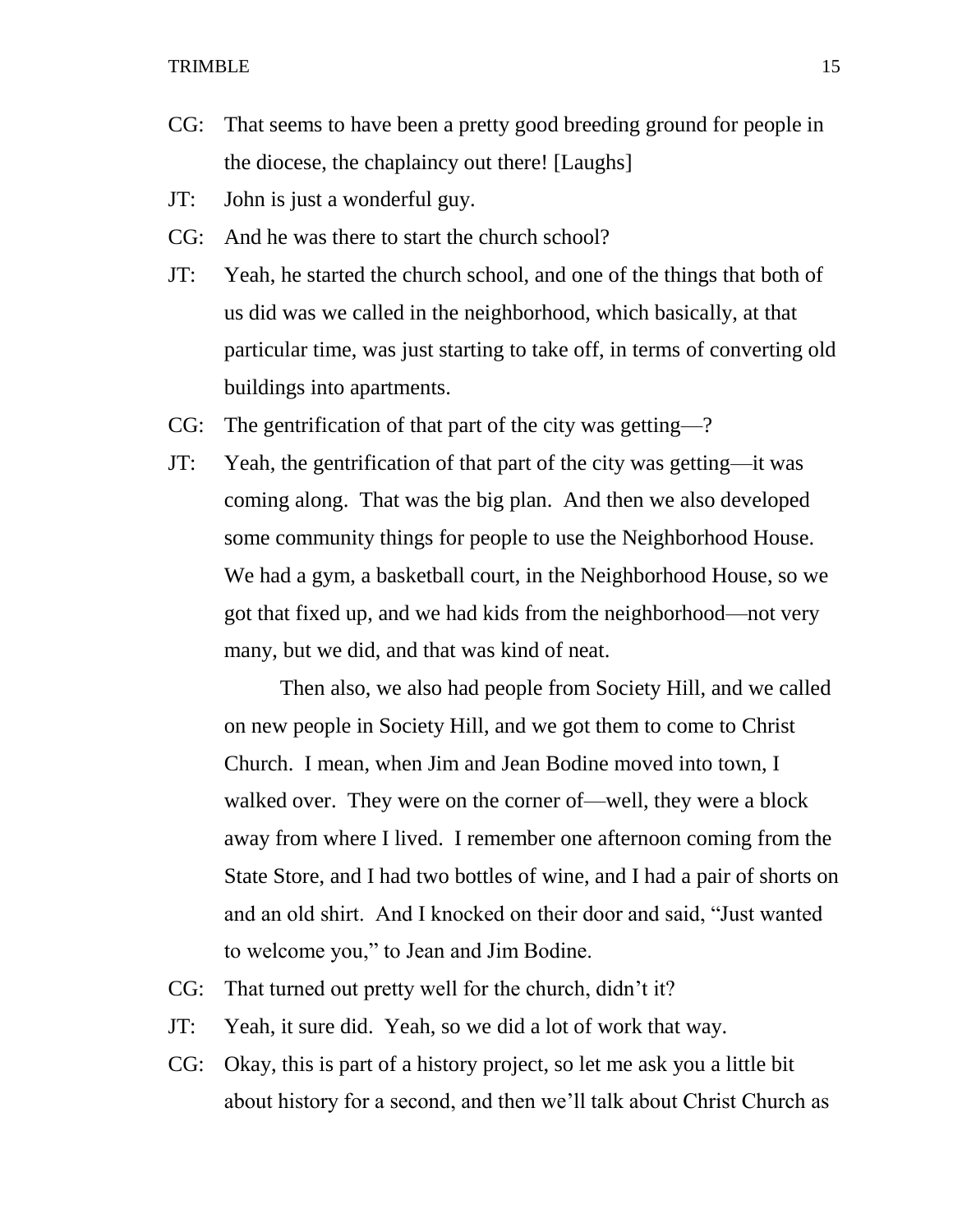- CG: That seems to have been a pretty good breeding ground for people in the diocese, the chaplaincy out there! [Laughs]
- JT: John is just a wonderful guy.
- CG: And he was there to start the church school?
- JT: Yeah, he started the church school, and one of the things that both of us did was we called in the neighborhood, which basically, at that particular time, was just starting to take off, in terms of converting old buildings into apartments.
- CG: The gentrification of that part of the city was getting—?
- JT: Yeah, the gentrification of that part of the city was getting—it was coming along. That was the big plan. And then we also developed some community things for people to use the Neighborhood House. We had a gym, a basketball court, in the Neighborhood House, so we got that fixed up, and we had kids from the neighborhood—not very many, but we did, and that was kind of neat.

Then also, we also had people from Society Hill, and we called on new people in Society Hill, and we got them to come to Christ Church. I mean, when Jim and Jean Bodine moved into town, I walked over. They were on the corner of—well, they were a block away from where I lived. I remember one afternoon coming from the State Store, and I had two bottles of wine, and I had a pair of shorts on and an old shirt. And I knocked on their door and said, "Just wanted to welcome you," to Jean and Jim Bodine.

- CG: That turned out pretty well for the church, didn't it?
- JT: Yeah, it sure did. Yeah, so we did a lot of work that way.
- CG: Okay, this is part of a history project, so let me ask you a little bit about history for a second, and then we'll talk about Christ Church as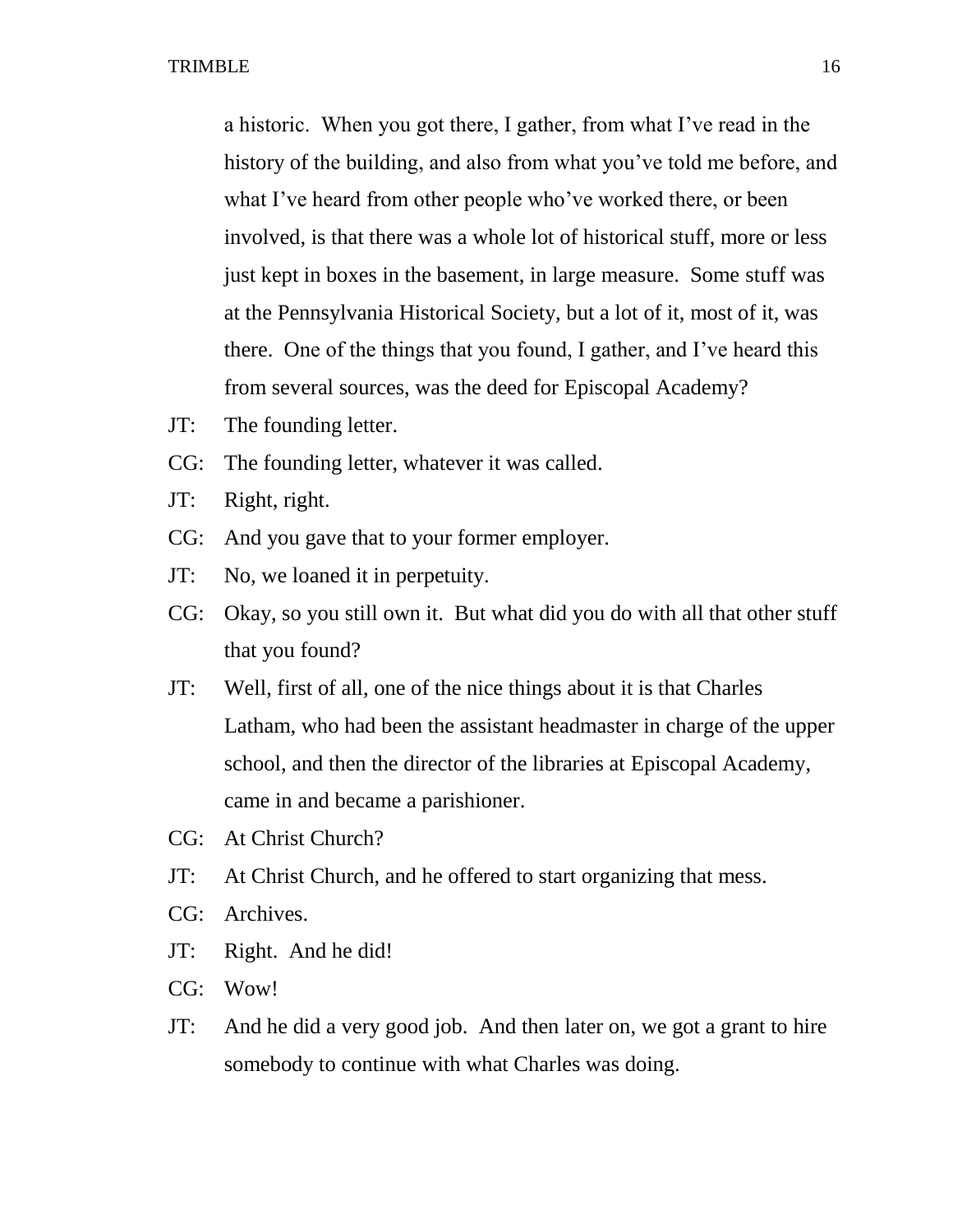a historic. When you got there, I gather, from what I've read in the history of the building, and also from what you've told me before, and what I've heard from other people who've worked there, or been involved, is that there was a whole lot of historical stuff, more or less just kept in boxes in the basement, in large measure. Some stuff was at the Pennsylvania Historical Society, but a lot of it, most of it, was there. One of the things that you found, I gather, and I've heard this from several sources, was the deed for Episcopal Academy?

- JT: The founding letter.
- CG: The founding letter, whatever it was called.
- JT: Right, right.
- CG: And you gave that to your former employer.
- JT: No, we loaned it in perpetuity.
- CG: Okay, so you still own it. But what did you do with all that other stuff that you found?
- JT: Well, first of all, one of the nice things about it is that Charles Latham, who had been the assistant headmaster in charge of the upper school, and then the director of the libraries at Episcopal Academy, came in and became a parishioner.
- CG: At Christ Church?
- JT: At Christ Church, and he offered to start organizing that mess.
- CG: Archives.
- JT: Right. And he did!
- CG: Wow!
- JT: And he did a very good job. And then later on, we got a grant to hire somebody to continue with what Charles was doing.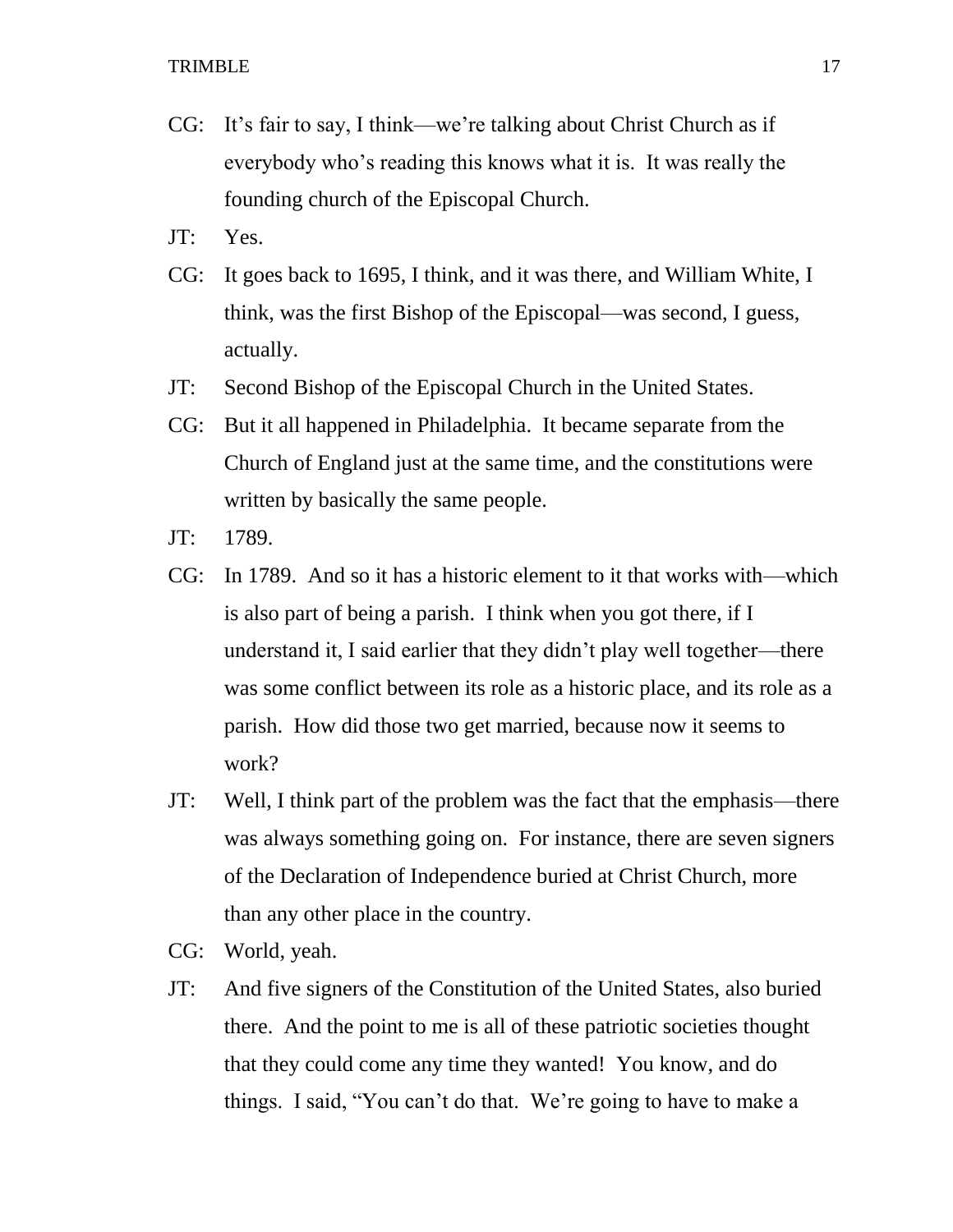- CG: It's fair to say, I think—we're talking about Christ Church as if everybody who's reading this knows what it is. It was really the founding church of the Episcopal Church.
- JT: Yes.
- CG: It goes back to 1695, I think, and it was there, and William White, I think, was the first Bishop of the Episcopal—was second, I guess, actually.
- JT: Second Bishop of the Episcopal Church in the United States.
- CG: But it all happened in Philadelphia. It became separate from the Church of England just at the same time, and the constitutions were written by basically the same people.
- JT: 1789.
- CG: In 1789. And so it has a historic element to it that works with—which is also part of being a parish. I think when you got there, if I understand it, I said earlier that they didn't play well together—there was some conflict between its role as a historic place, and its role as a parish. How did those two get married, because now it seems to work?
- JT: Well, I think part of the problem was the fact that the emphasis—there was always something going on. For instance, there are seven signers of the Declaration of Independence buried at Christ Church, more than any other place in the country.
- CG: World, yeah.
- JT: And five signers of the Constitution of the United States, also buried there. And the point to me is all of these patriotic societies thought that they could come any time they wanted! You know, and do things. I said, "You can't do that. We're going to have to make a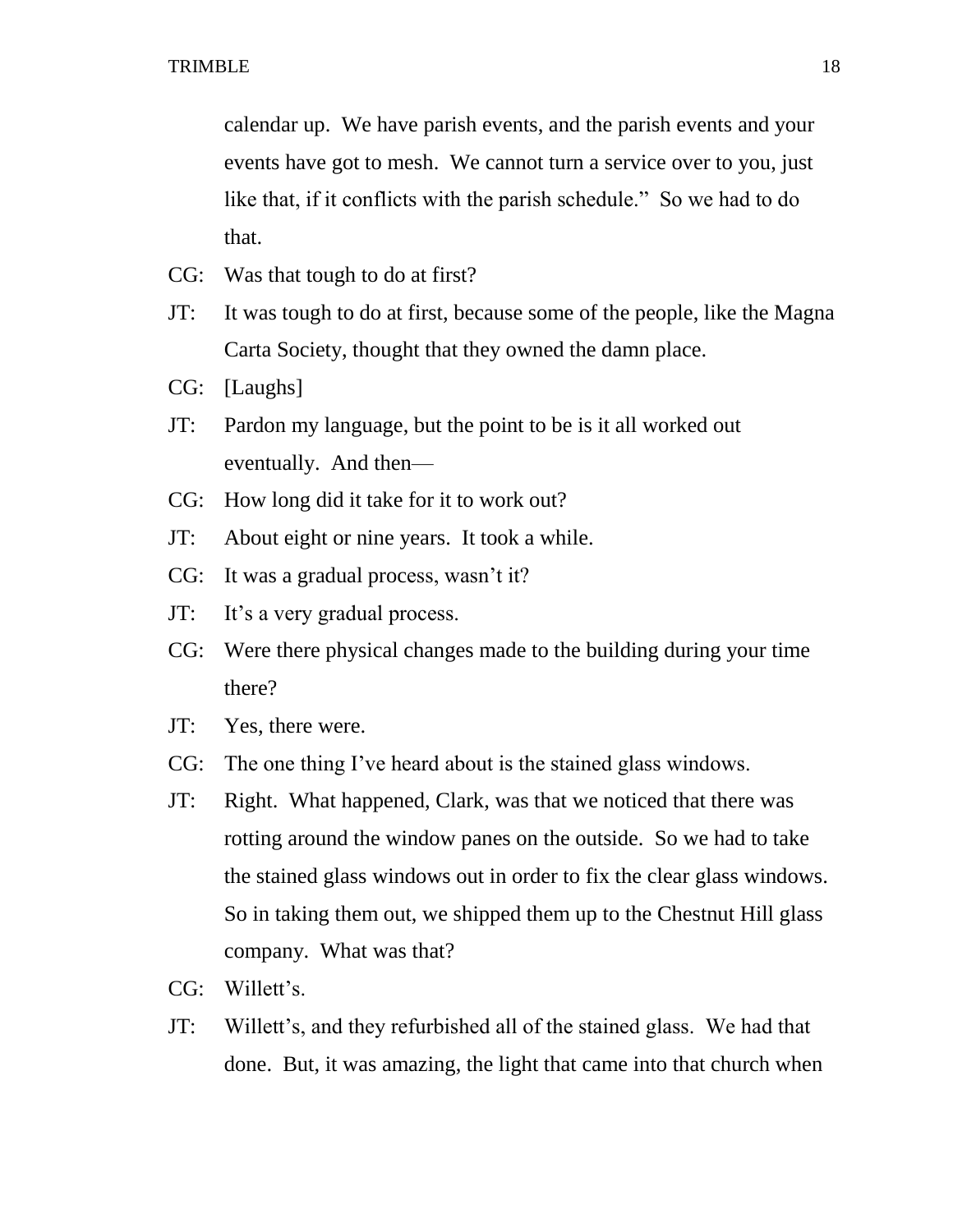calendar up. We have parish events, and the parish events and your events have got to mesh. We cannot turn a service over to you, just like that, if it conflicts with the parish schedule." So we had to do that.

- CG: Was that tough to do at first?
- JT: It was tough to do at first, because some of the people, like the Magna Carta Society, thought that they owned the damn place.
- CG: [Laughs]
- JT: Pardon my language, but the point to be is it all worked out eventually. And then—
- CG: How long did it take for it to work out?
- JT: About eight or nine years. It took a while.
- CG: It was a gradual process, wasn't it?
- JT: It's a very gradual process.
- CG: Were there physical changes made to the building during your time there?
- JT: Yes, there were.
- CG: The one thing I've heard about is the stained glass windows.
- JT: Right. What happened, Clark, was that we noticed that there was rotting around the window panes on the outside. So we had to take the stained glass windows out in order to fix the clear glass windows. So in taking them out, we shipped them up to the Chestnut Hill glass company. What was that?
- CG: Willett's.
- JT: Willett's, and they refurbished all of the stained glass. We had that done. But, it was amazing, the light that came into that church when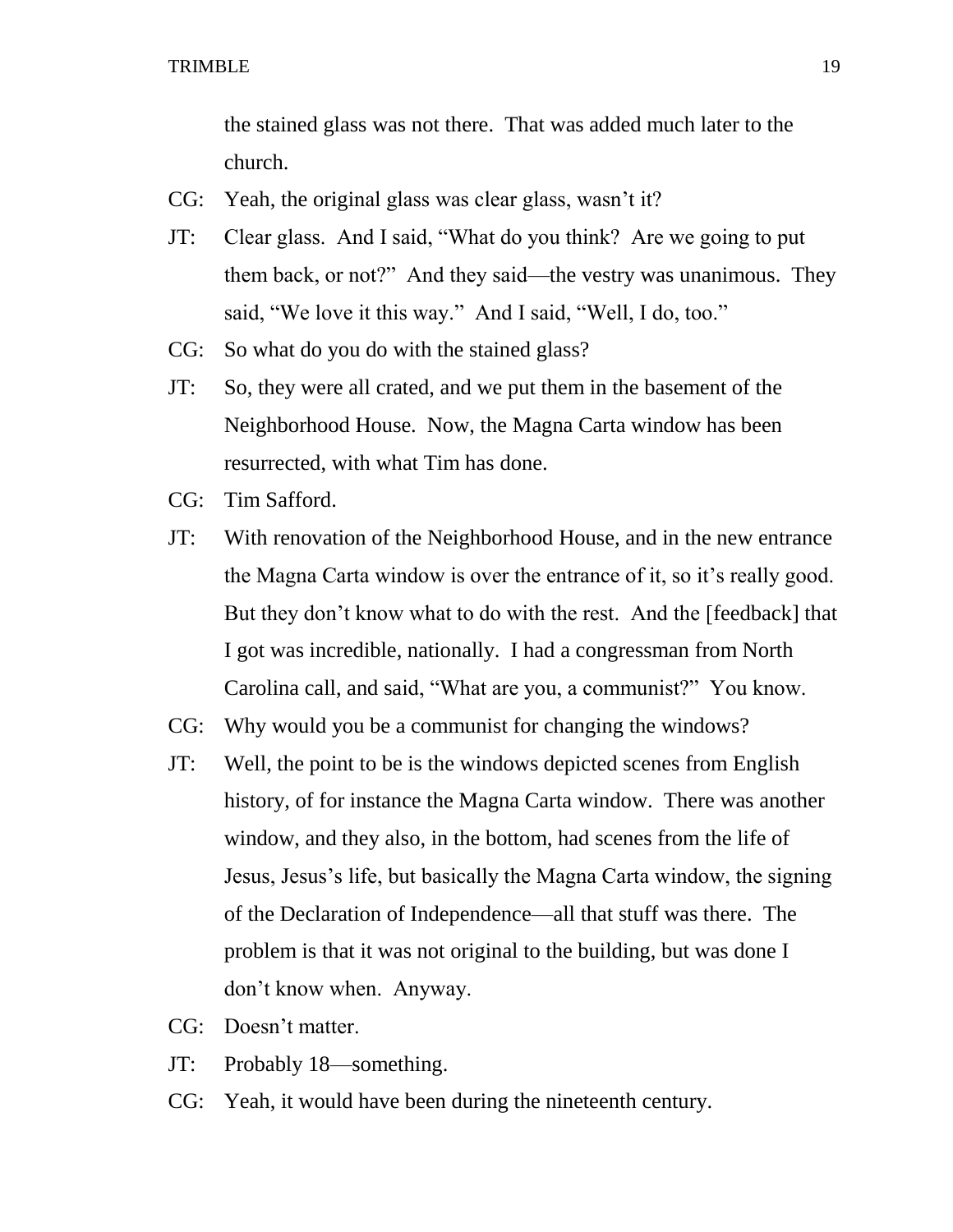the stained glass was not there. That was added much later to the church.

- CG: Yeah, the original glass was clear glass, wasn't it?
- JT: Clear glass. And I said, "What do you think? Are we going to put them back, or not?" And they said—the vestry was unanimous. They said, "We love it this way." And I said, "Well, I do, too."
- CG: So what do you do with the stained glass?
- JT: So, they were all crated, and we put them in the basement of the Neighborhood House. Now, the Magna Carta window has been resurrected, with what Tim has done.
- CG: Tim Safford.
- JT: With renovation of the Neighborhood House, and in the new entrance the Magna Carta window is over the entrance of it, so it's really good. But they don't know what to do with the rest. And the [feedback] that I got was incredible, nationally. I had a congressman from North Carolina call, and said, "What are you, a communist?" You know.
- CG: Why would you be a communist for changing the windows?
- JT: Well, the point to be is the windows depicted scenes from English history, of for instance the Magna Carta window. There was another window, and they also, in the bottom, had scenes from the life of Jesus, Jesus's life, but basically the Magna Carta window, the signing of the Declaration of Independence—all that stuff was there. The problem is that it was not original to the building, but was done I don't know when. Anyway.
- CG: Doesn't matter.
- JT: Probably 18—something.
- CG: Yeah, it would have been during the nineteenth century.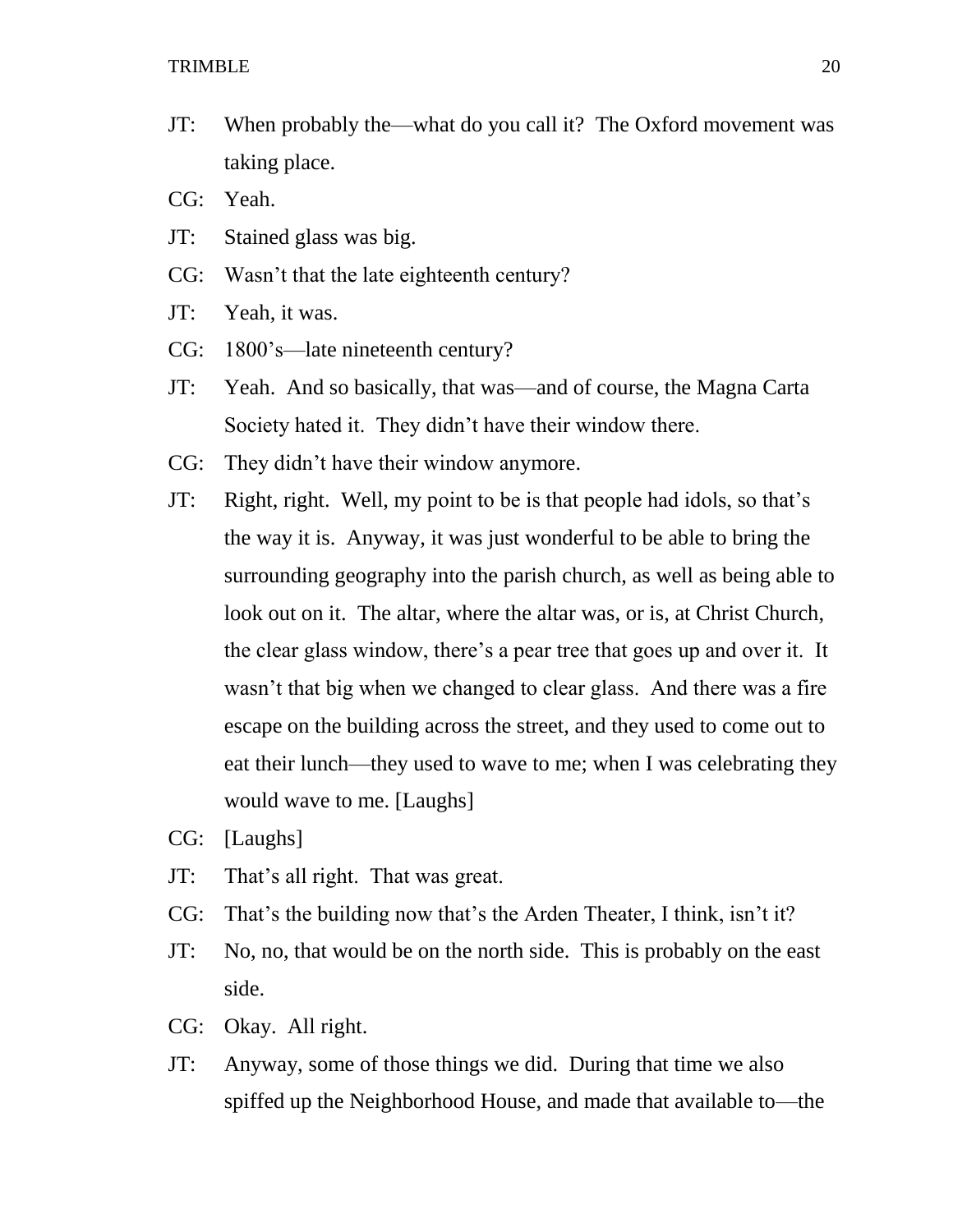- JT: When probably the—what do you call it? The Oxford movement was taking place.
- CG: Yeah.
- JT: Stained glass was big.
- CG: Wasn't that the late eighteenth century?
- JT: Yeah, it was.
- CG: 1800's—late nineteenth century?
- JT: Yeah. And so basically, that was—and of course, the Magna Carta Society hated it. They didn't have their window there.
- CG: They didn't have their window anymore.
- JT: Right, right. Well, my point to be is that people had idols, so that's the way it is. Anyway, it was just wonderful to be able to bring the surrounding geography into the parish church, as well as being able to look out on it. The altar, where the altar was, or is, at Christ Church, the clear glass window, there's a pear tree that goes up and over it. It wasn't that big when we changed to clear glass. And there was a fire escape on the building across the street, and they used to come out to eat their lunch—they used to wave to me; when I was celebrating they would wave to me. [Laughs]
- CG: [Laughs]
- JT: That's all right. That was great.
- CG: That's the building now that's the Arden Theater, I think, isn't it?
- JT: No, no, that would be on the north side. This is probably on the east side.
- CG: Okay. All right.
- JT: Anyway, some of those things we did. During that time we also spiffed up the Neighborhood House, and made that available to—the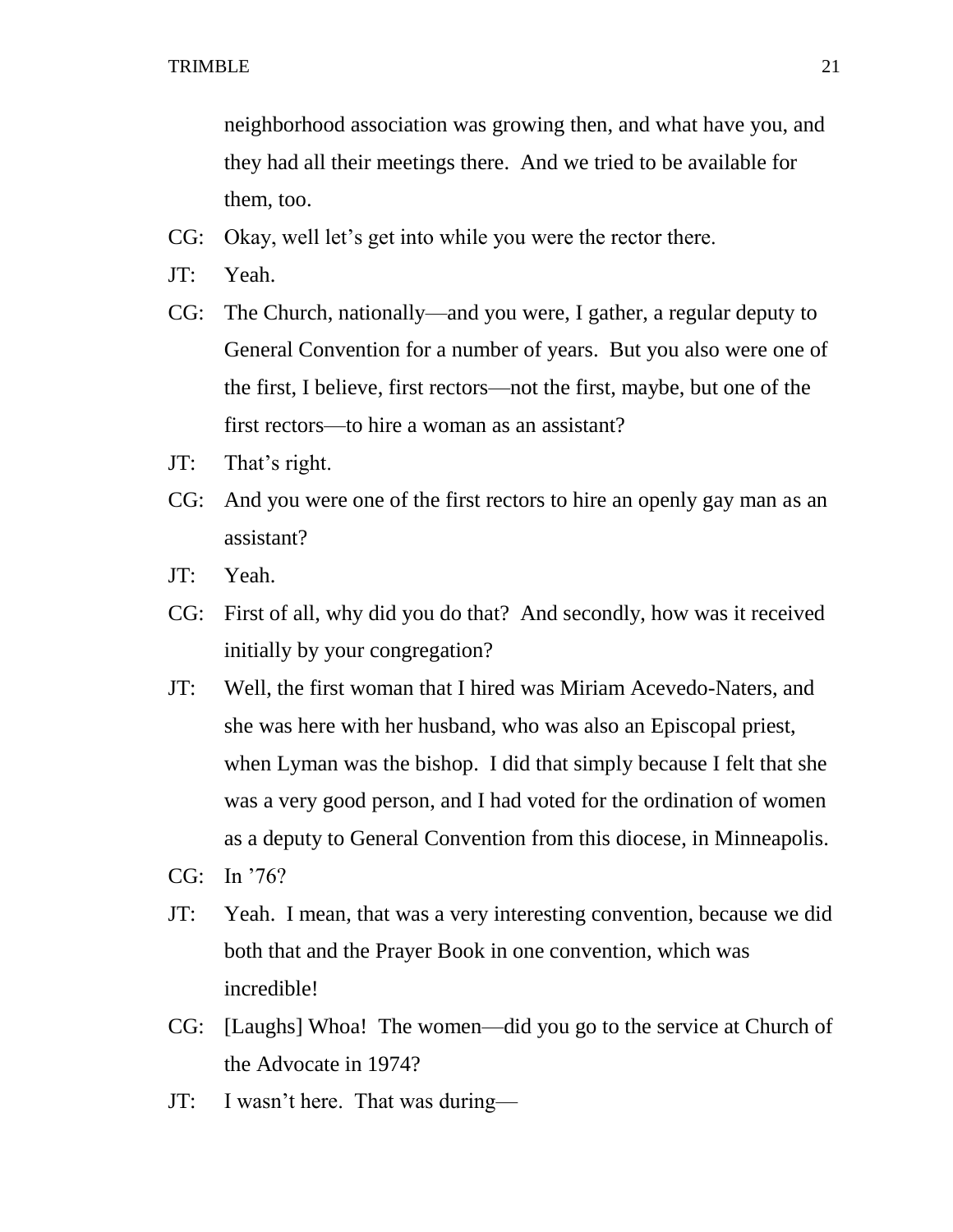neighborhood association was growing then, and what have you, and they had all their meetings there. And we tried to be available for them, too.

- CG: Okay, well let's get into while you were the rector there.
- JT: Yeah.
- CG: The Church, nationally—and you were, I gather, a regular deputy to General Convention for a number of years. But you also were one of the first, I believe, first rectors—not the first, maybe, but one of the first rectors—to hire a woman as an assistant?
- JT: That's right.
- CG: And you were one of the first rectors to hire an openly gay man as an assistant?
- JT: Yeah.
- CG: First of all, why did you do that? And secondly, how was it received initially by your congregation?
- JT: Well, the first woman that I hired was Miriam Acevedo-Naters, and she was here with her husband, who was also an Episcopal priest, when Lyman was the bishop. I did that simply because I felt that she was a very good person, and I had voted for the ordination of women as a deputy to General Convention from this diocese, in Minneapolis.
- CG: In '76?
- JT: Yeah. I mean, that was a very interesting convention, because we did both that and the Prayer Book in one convention, which was incredible!
- CG: [Laughs] Whoa! The women—did you go to the service at Church of the Advocate in 1974?
- JT: I wasn't here. That was during—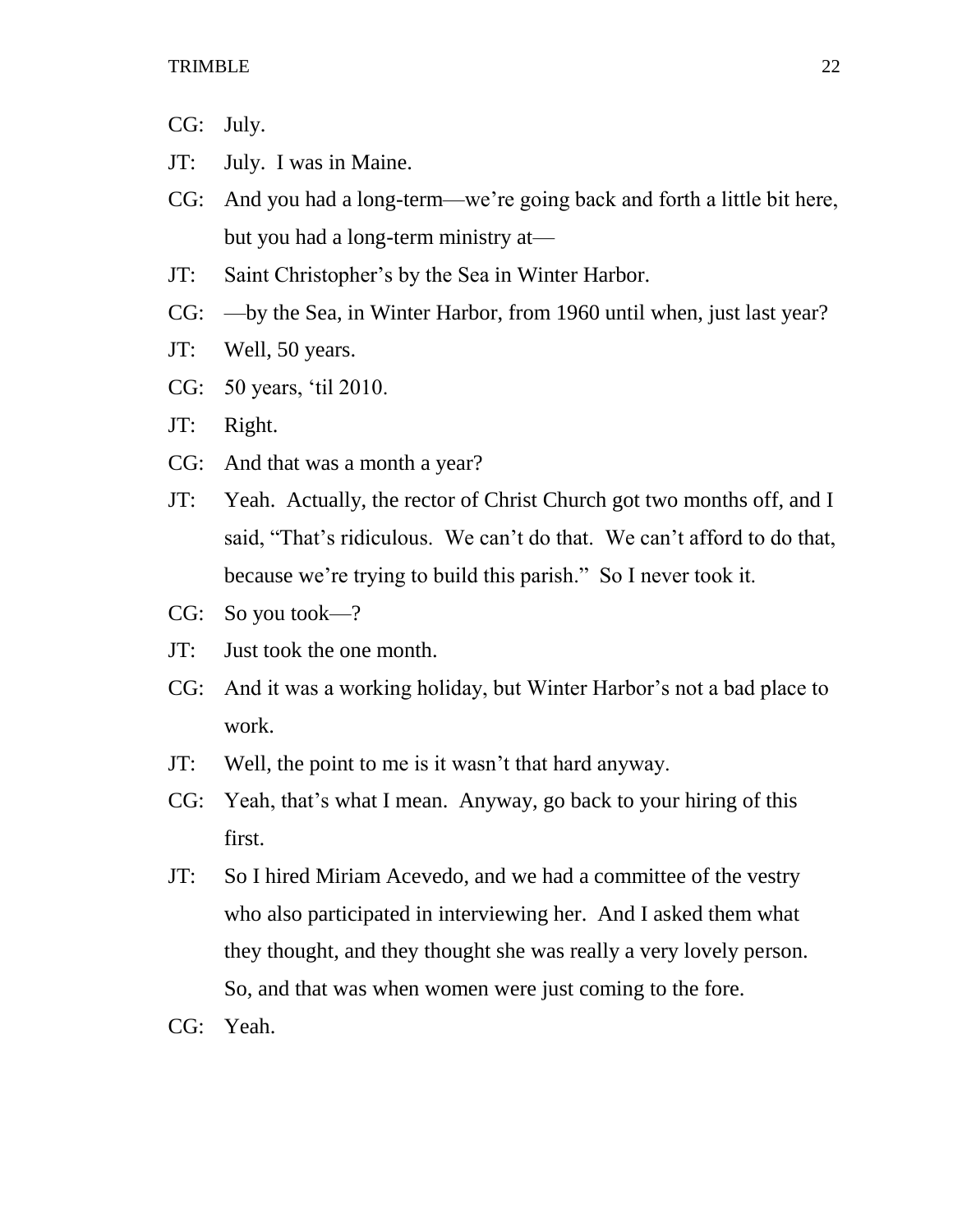CG: July.

- JT: July. I was in Maine.
- CG: And you had a long-term—we're going back and forth a little bit here, but you had a long-term ministry at—
- JT: Saint Christopher's by the Sea in Winter Harbor.
- CG: —by the Sea, in Winter Harbor, from 1960 until when, just last year?
- JT: Well, 50 years.
- CG: 50 years, 'til 2010.
- JT: Right.
- CG: And that was a month a year?
- JT: Yeah. Actually, the rector of Christ Church got two months off, and I said, "That's ridiculous. We can't do that. We can't afford to do that, because we're trying to build this parish." So I never took it.
- CG: So you took—?
- JT: Just took the one month.
- CG: And it was a working holiday, but Winter Harbor's not a bad place to work.
- JT: Well, the point to me is it wasn't that hard anyway.
- CG: Yeah, that's what I mean. Anyway, go back to your hiring of this first.
- JT: So I hired Miriam Acevedo, and we had a committee of the vestry who also participated in interviewing her. And I asked them what they thought, and they thought she was really a very lovely person. So, and that was when women were just coming to the fore.
- CG: Yeah.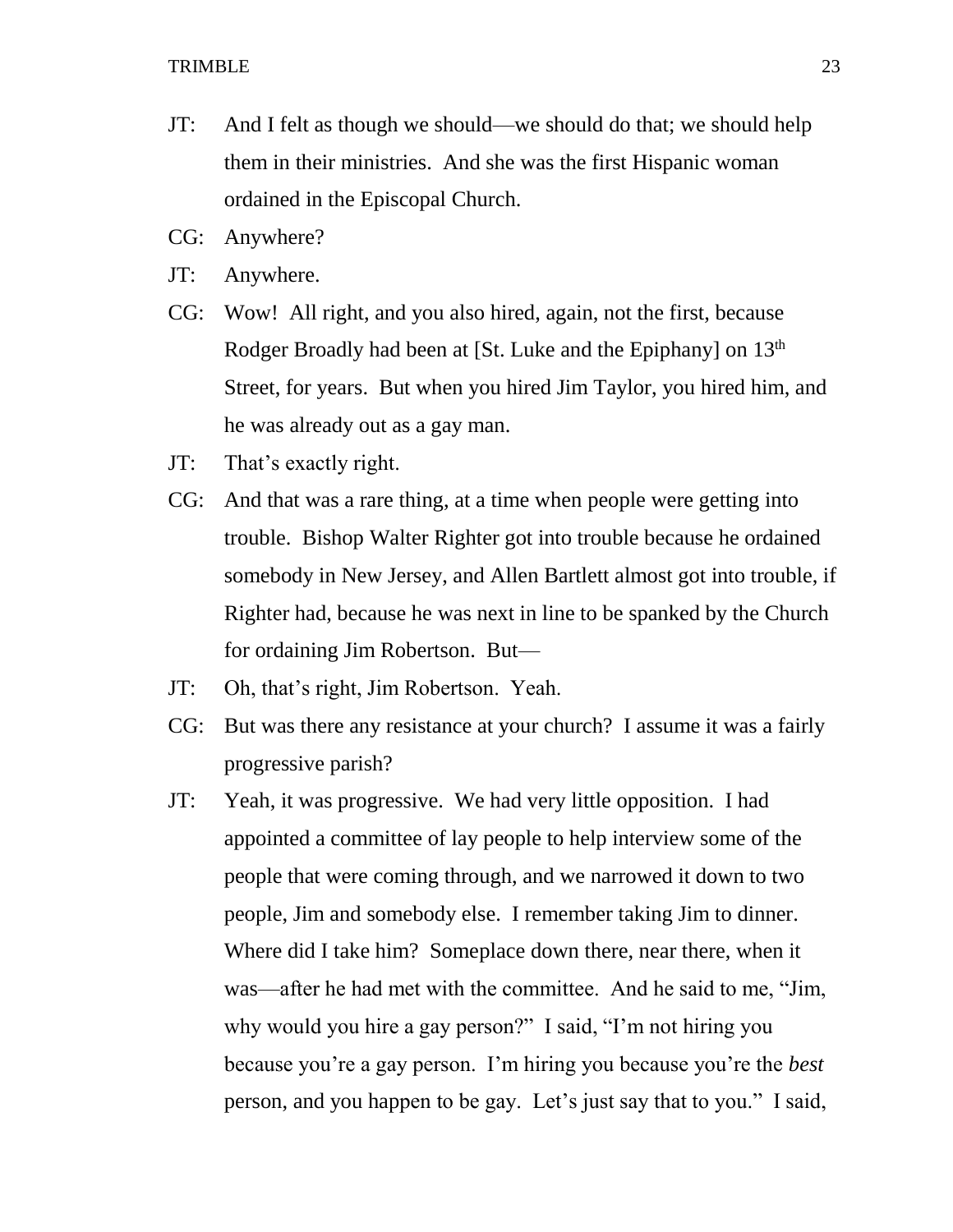- JT: And I felt as though we should—we should do that; we should help them in their ministries. And she was the first Hispanic woman ordained in the Episcopal Church.
- CG: Anywhere?
- JT: Anywhere.
- CG: Wow! All right, and you also hired, again, not the first, because Rodger Broadly had been at [St. Luke and the Epiphany] on 13<sup>th</sup> Street, for years. But when you hired Jim Taylor, you hired him, and he was already out as a gay man.
- JT: That's exactly right.
- CG: And that was a rare thing, at a time when people were getting into trouble. Bishop Walter Righter got into trouble because he ordained somebody in New Jersey, and Allen Bartlett almost got into trouble, if Righter had, because he was next in line to be spanked by the Church for ordaining Jim Robertson. But—
- JT: Oh, that's right, Jim Robertson. Yeah.
- CG: But was there any resistance at your church? I assume it was a fairly progressive parish?
- JT: Yeah, it was progressive. We had very little opposition. I had appointed a committee of lay people to help interview some of the people that were coming through, and we narrowed it down to two people, Jim and somebody else. I remember taking Jim to dinner. Where did I take him? Someplace down there, near there, when it was—after he had met with the committee. And he said to me, "Jim, why would you hire a gay person?" I said, "I'm not hiring you because you're a gay person. I'm hiring you because you're the *best*  person, and you happen to be gay. Let's just say that to you." I said,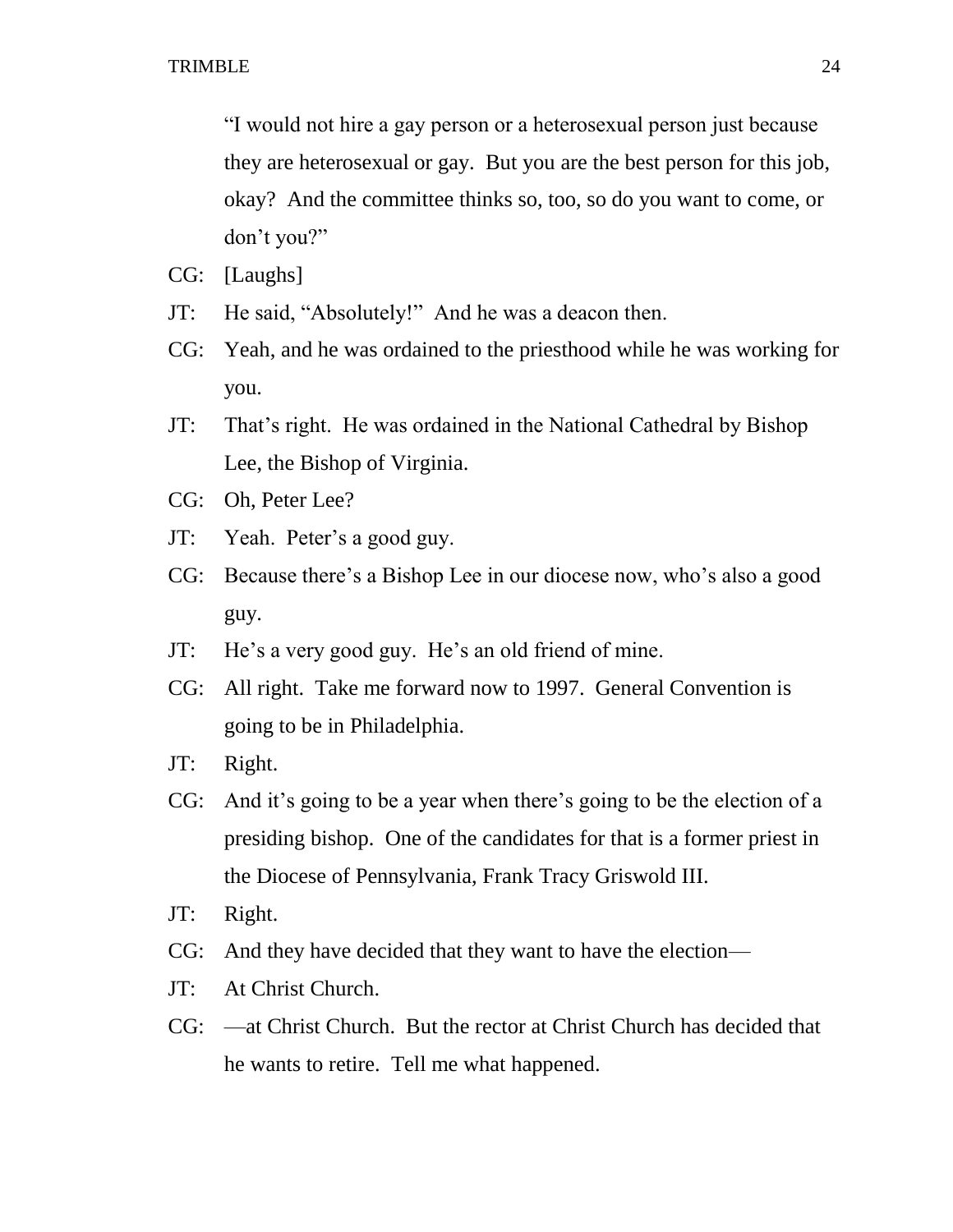"I would not hire a gay person or a heterosexual person just because they are heterosexual or gay. But you are the best person for this job, okay? And the committee thinks so, too, so do you want to come, or don't you?"

- CG: [Laughs]
- JT: He said, "Absolutely!" And he was a deacon then.
- CG: Yeah, and he was ordained to the priesthood while he was working for you.
- JT: That's right. He was ordained in the National Cathedral by Bishop Lee, the Bishop of Virginia.
- CG: Oh, Peter Lee?
- JT: Yeah. Peter's a good guy.
- CG: Because there's a Bishop Lee in our diocese now, who's also a good guy.
- JT: He's a very good guy. He's an old friend of mine.
- CG: All right. Take me forward now to 1997. General Convention is going to be in Philadelphia.
- JT: Right.
- CG: And it's going to be a year when there's going to be the election of a presiding bishop. One of the candidates for that is a former priest in the Diocese of Pennsylvania, Frank Tracy Griswold III.
- JT: Right.
- CG: And they have decided that they want to have the election—
- JT: At Christ Church.
- CG: —at Christ Church. But the rector at Christ Church has decided that he wants to retire. Tell me what happened.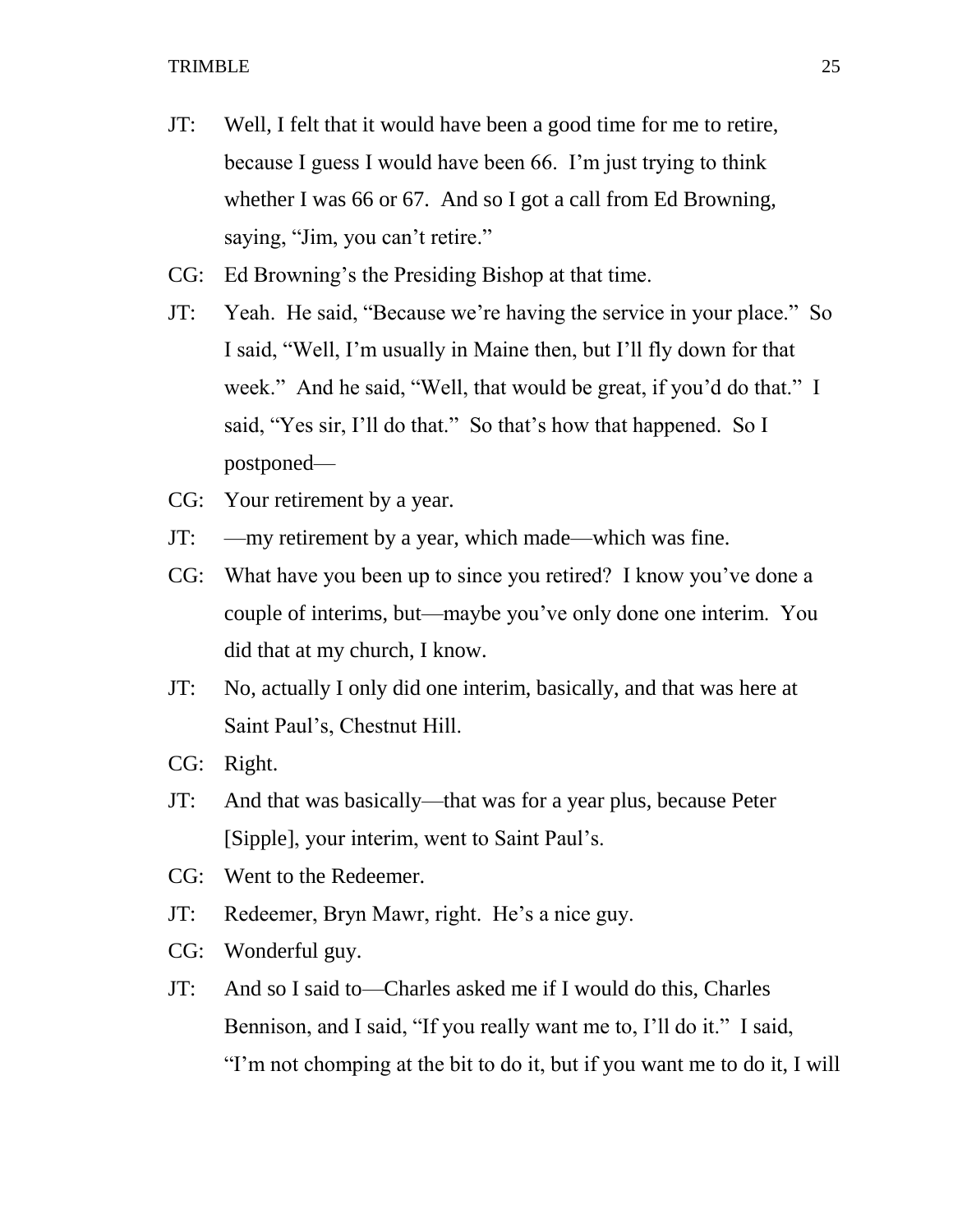- JT: Well, I felt that it would have been a good time for me to retire, because I guess I would have been 66. I'm just trying to think whether I was 66 or 67. And so I got a call from Ed Browning, saying, "Jim, you can't retire."
- CG: Ed Browning's the Presiding Bishop at that time.
- JT: Yeah. He said, "Because we're having the service in your place." So I said, "Well, I'm usually in Maine then, but I'll fly down for that week." And he said, "Well, that would be great, if you'd do that." I said, "Yes sir, I'll do that." So that's how that happened. So I postponed—
- CG: Your retirement by a year.
- JT: —my retirement by a year, which made—which was fine.
- CG: What have you been up to since you retired? I know you've done a couple of interims, but—maybe you've only done one interim. You did that at my church, I know.
- JT: No, actually I only did one interim, basically, and that was here at Saint Paul's, Chestnut Hill.
- CG: Right.
- JT: And that was basically—that was for a year plus, because Peter [Sipple], your interim, went to Saint Paul's.
- CG: Went to the Redeemer.
- JT: Redeemer, Bryn Mawr, right. He's a nice guy.
- CG: Wonderful guy.
- JT: And so I said to—Charles asked me if I would do this, Charles Bennison, and I said, "If you really want me to, I'll do it." I said, "I'm not chomping at the bit to do it, but if you want me to do it, I will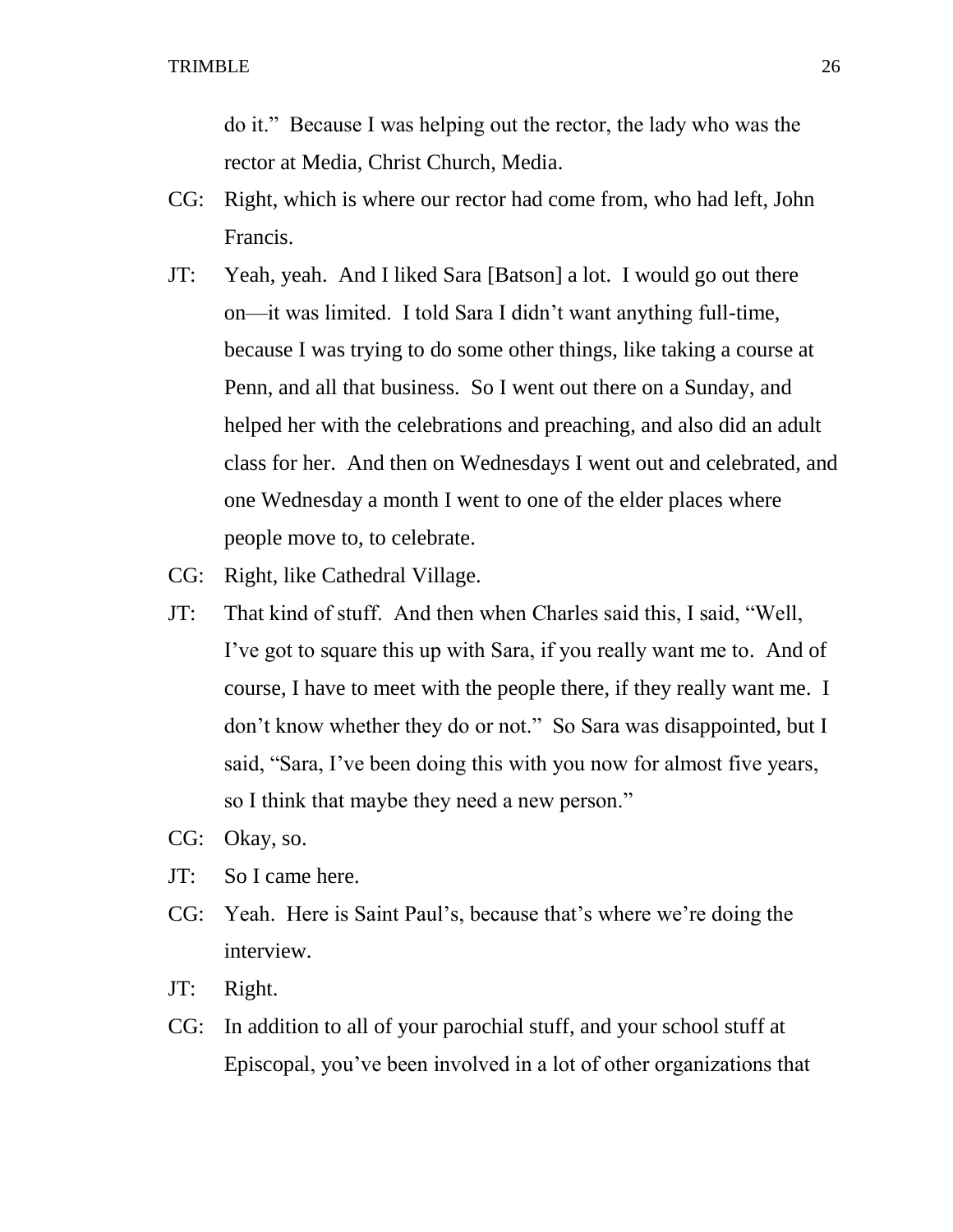do it." Because I was helping out the rector, the lady who was the rector at Media, Christ Church, Media.

- CG: Right, which is where our rector had come from, who had left, John Francis.
- JT: Yeah, yeah. And I liked Sara [Batson] a lot. I would go out there on—it was limited. I told Sara I didn't want anything full-time, because I was trying to do some other things, like taking a course at Penn, and all that business. So I went out there on a Sunday, and helped her with the celebrations and preaching, and also did an adult class for her. And then on Wednesdays I went out and celebrated, and one Wednesday a month I went to one of the elder places where people move to, to celebrate.
- CG: Right, like Cathedral Village.
- JT: That kind of stuff. And then when Charles said this, I said, "Well, I've got to square this up with Sara, if you really want me to. And of course, I have to meet with the people there, if they really want me. I don't know whether they do or not." So Sara was disappointed, but I said, "Sara, I've been doing this with you now for almost five years, so I think that maybe they need a new person."
- CG: Okay, so.
- JT: So I came here.
- CG: Yeah. Here is Saint Paul's, because that's where we're doing the interview.
- JT: Right.
- CG: In addition to all of your parochial stuff, and your school stuff at Episcopal, you've been involved in a lot of other organizations that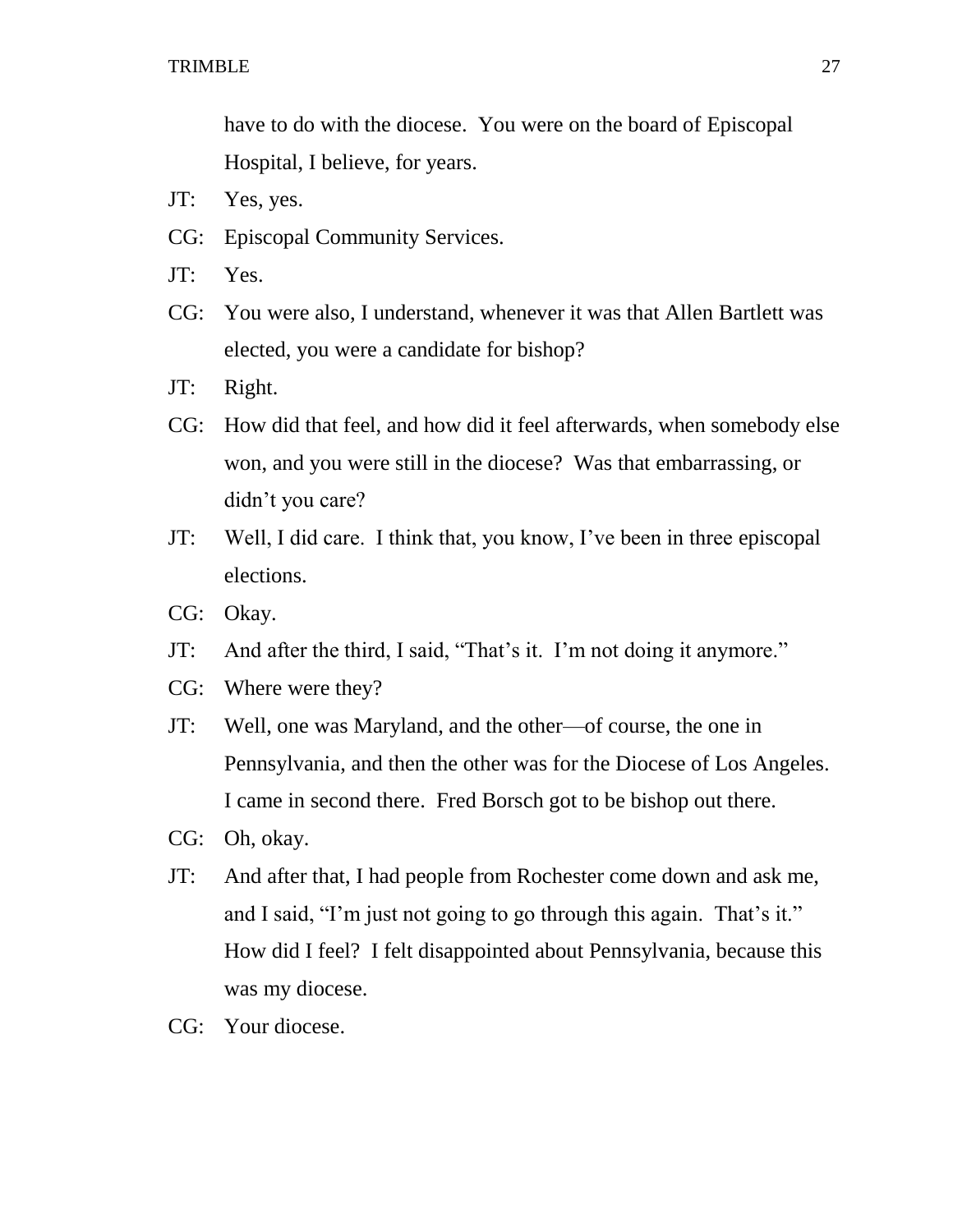have to do with the diocese. You were on the board of Episcopal Hospital, I believe, for years.

- JT: Yes, yes.
- CG: Episcopal Community Services.
- JT: Yes.
- CG: You were also, I understand, whenever it was that Allen Bartlett was elected, you were a candidate for bishop?
- JT: Right.
- CG: How did that feel, and how did it feel afterwards, when somebody else won, and you were still in the diocese? Was that embarrassing, or didn't you care?
- JT: Well, I did care. I think that, you know, I've been in three episcopal elections.
- CG: Okay.
- JT: And after the third, I said, "That's it. I'm not doing it anymore."
- CG: Where were they?
- JT: Well, one was Maryland, and the other—of course, the one in Pennsylvania, and then the other was for the Diocese of Los Angeles. I came in second there. Fred Borsch got to be bishop out there.
- CG: Oh, okay.
- JT: And after that, I had people from Rochester come down and ask me, and I said, "I'm just not going to go through this again. That's it." How did I feel? I felt disappointed about Pennsylvania, because this was my diocese.
- CG: Your diocese.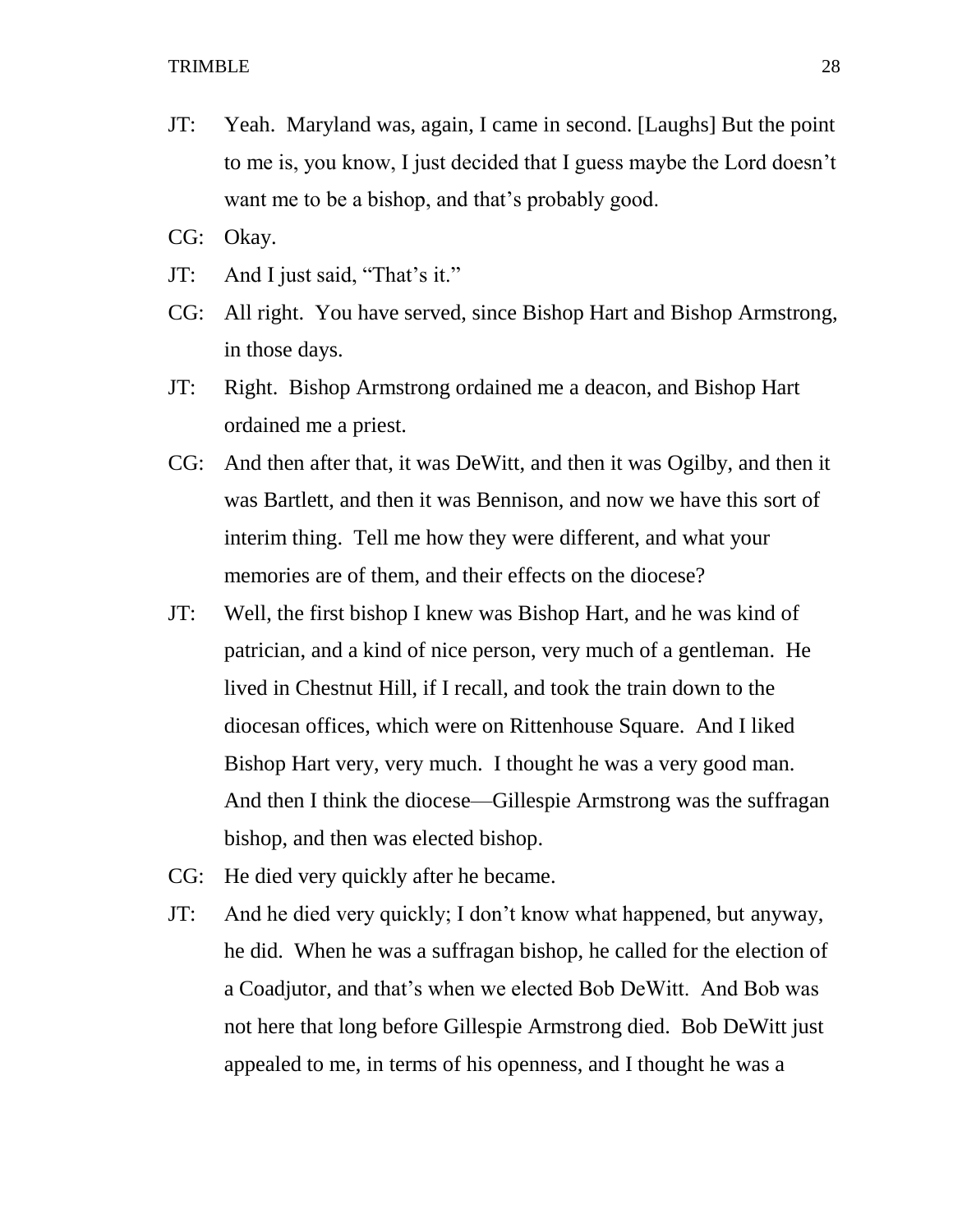- JT: Yeah. Maryland was, again, I came in second. [Laughs] But the point to me is, you know, I just decided that I guess maybe the Lord doesn't want me to be a bishop, and that's probably good.
- CG: Okay.
- JT: And I just said, "That's it."
- CG: All right. You have served, since Bishop Hart and Bishop Armstrong, in those days.
- JT: Right. Bishop Armstrong ordained me a deacon, and Bishop Hart ordained me a priest.
- CG: And then after that, it was DeWitt, and then it was Ogilby, and then it was Bartlett, and then it was Bennison, and now we have this sort of interim thing. Tell me how they were different, and what your memories are of them, and their effects on the diocese?
- JT: Well, the first bishop I knew was Bishop Hart, and he was kind of patrician, and a kind of nice person, very much of a gentleman. He lived in Chestnut Hill, if I recall, and took the train down to the diocesan offices, which were on Rittenhouse Square. And I liked Bishop Hart very, very much. I thought he was a very good man. And then I think the diocese—Gillespie Armstrong was the suffragan bishop, and then was elected bishop.
- CG: He died very quickly after he became.
- JT: And he died very quickly; I don't know what happened, but anyway, he did. When he was a suffragan bishop, he called for the election of a Coadjutor, and that's when we elected Bob DeWitt. And Bob was not here that long before Gillespie Armstrong died. Bob DeWitt just appealed to me, in terms of his openness, and I thought he was a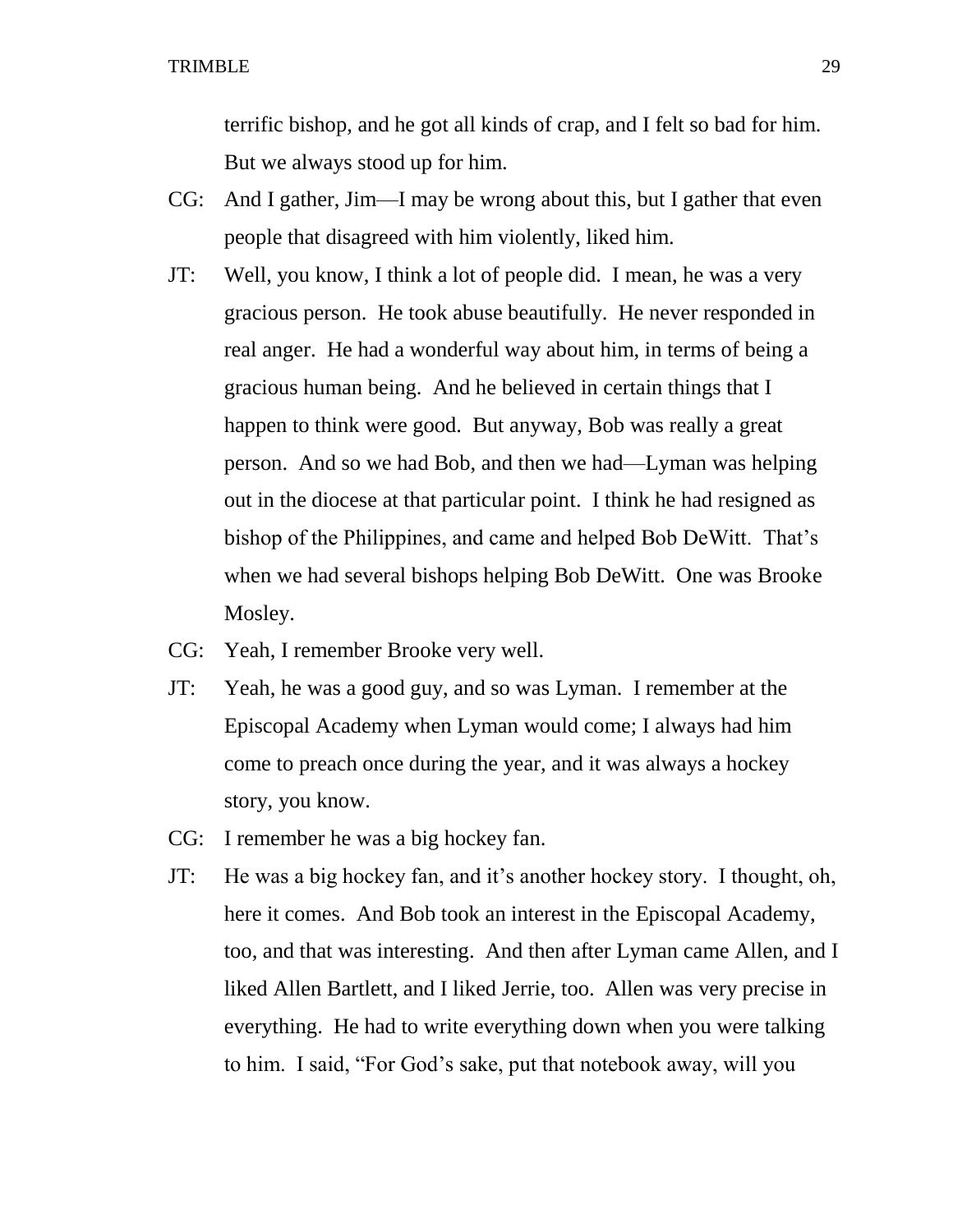terrific bishop, and he got all kinds of crap, and I felt so bad for him. But we always stood up for him.

- CG: And I gather, Jim—I may be wrong about this, but I gather that even people that disagreed with him violently, liked him.
- JT: Well, you know, I think a lot of people did. I mean, he was a very gracious person. He took abuse beautifully. He never responded in real anger. He had a wonderful way about him, in terms of being a gracious human being. And he believed in certain things that I happen to think were good. But anyway, Bob was really a great person. And so we had Bob, and then we had—Lyman was helping out in the diocese at that particular point. I think he had resigned as bishop of the Philippines, and came and helped Bob DeWitt. That's when we had several bishops helping Bob DeWitt. One was Brooke Mosley.
- CG: Yeah, I remember Brooke very well.
- JT: Yeah, he was a good guy, and so was Lyman. I remember at the Episcopal Academy when Lyman would come; I always had him come to preach once during the year, and it was always a hockey story, you know.
- CG: I remember he was a big hockey fan.
- JT: He was a big hockey fan, and it's another hockey story. I thought, oh, here it comes. And Bob took an interest in the Episcopal Academy, too, and that was interesting. And then after Lyman came Allen, and I liked Allen Bartlett, and I liked Jerrie, too. Allen was very precise in everything. He had to write everything down when you were talking to him. I said, "For God's sake, put that notebook away, will you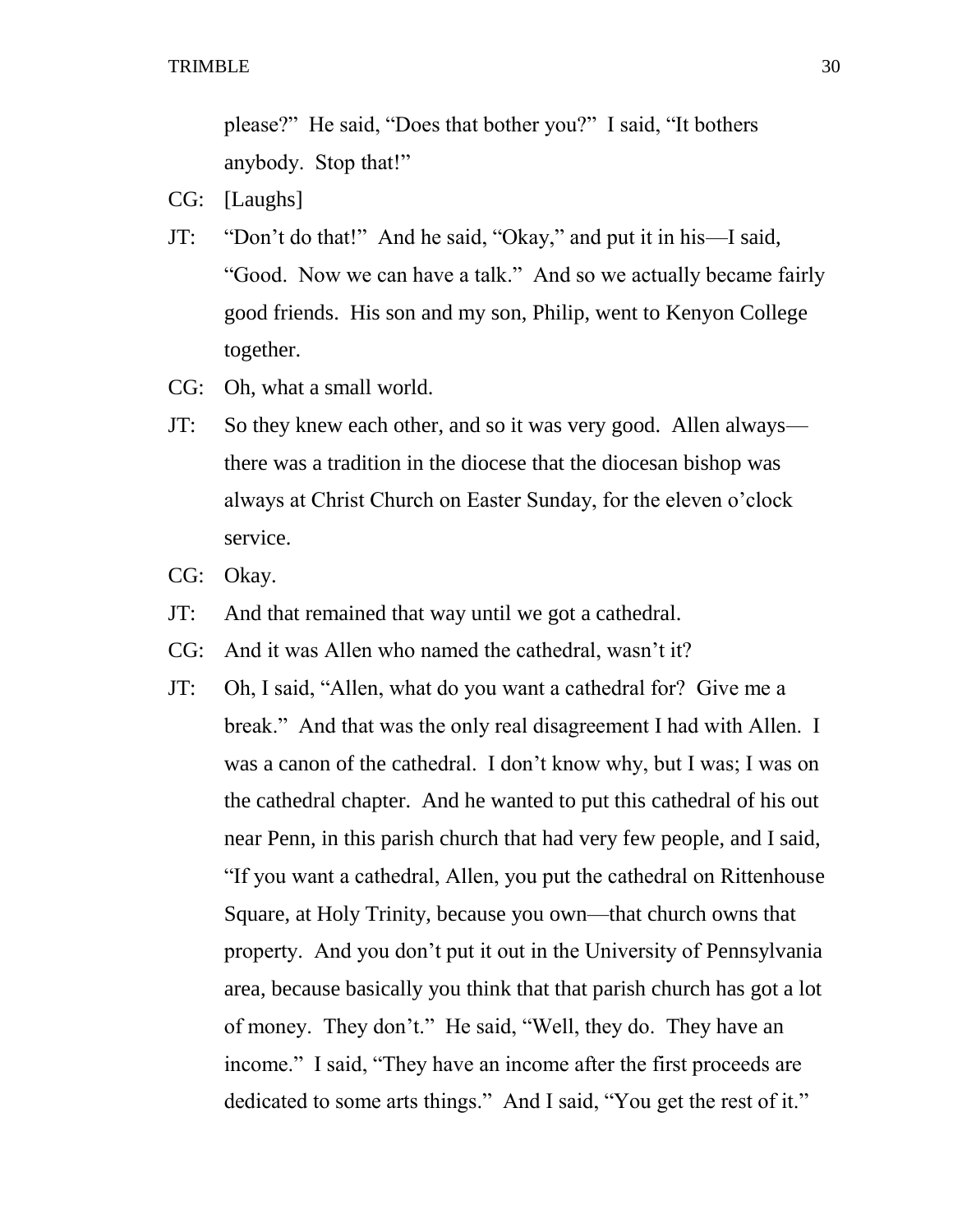please?" He said, "Does that bother you?" I said, "It bothers anybody. Stop that!"

- CG: [Laughs]
- JT: "Don't do that!" And he said, "Okay," and put it in his—I said, "Good. Now we can have a talk." And so we actually became fairly good friends. His son and my son, Philip, went to Kenyon College together.
- CG: Oh, what a small world.
- JT: So they knew each other, and so it was very good. Allen always there was a tradition in the diocese that the diocesan bishop was always at Christ Church on Easter Sunday, for the eleven o'clock service.
- CG: Okay.
- JT: And that remained that way until we got a cathedral.
- CG: And it was Allen who named the cathedral, wasn't it?
- JT: Oh, I said, "Allen, what do you want a cathedral for? Give me a break." And that was the only real disagreement I had with Allen. I was a canon of the cathedral. I don't know why, but I was; I was on the cathedral chapter. And he wanted to put this cathedral of his out near Penn, in this parish church that had very few people, and I said, "If you want a cathedral, Allen, you put the cathedral on Rittenhouse Square, at Holy Trinity, because you own—that church owns that property. And you don't put it out in the University of Pennsylvania area, because basically you think that that parish church has got a lot of money. They don't." He said, "Well, they do. They have an income." I said, "They have an income after the first proceeds are dedicated to some arts things." And I said, "You get the rest of it."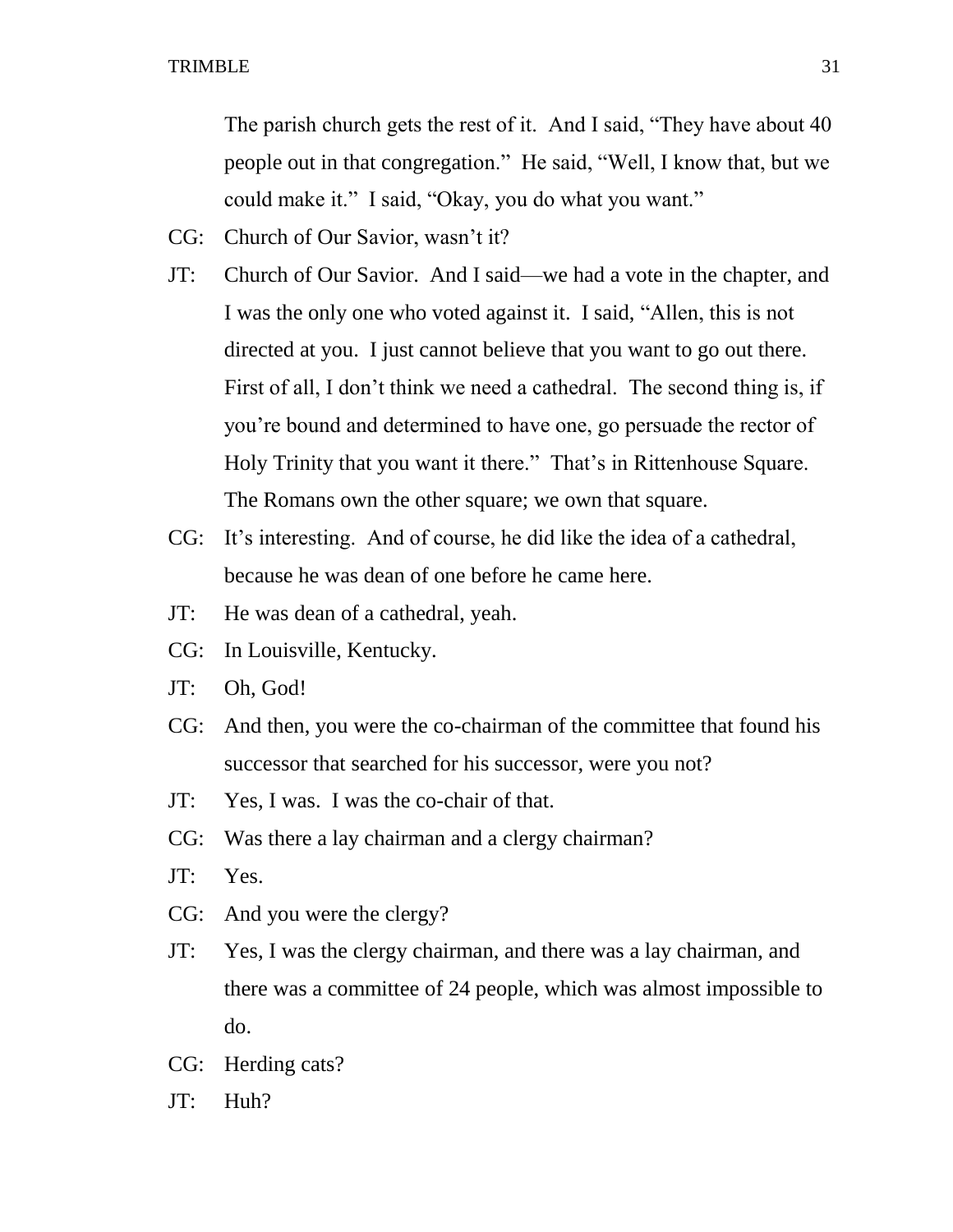The parish church gets the rest of it. And I said, "They have about 40 people out in that congregation." He said, "Well, I know that, but we could make it." I said, "Okay, you do what you want."

- CG: Church of Our Savior, wasn't it?
- JT: Church of Our Savior. And I said—we had a vote in the chapter, and I was the only one who voted against it. I said, "Allen, this is not directed at you. I just cannot believe that you want to go out there. First of all, I don't think we need a cathedral. The second thing is, if you're bound and determined to have one, go persuade the rector of Holy Trinity that you want it there." That's in Rittenhouse Square. The Romans own the other square; we own that square.
- CG: It's interesting. And of course, he did like the idea of a cathedral, because he was dean of one before he came here.
- JT: He was dean of a cathedral, yeah.
- CG: In Louisville, Kentucky.
- JT: Oh, God!
- CG: And then, you were the co-chairman of the committee that found his successor that searched for his successor, were you not?
- JT: Yes, I was. I was the co-chair of that.
- CG: Was there a lay chairman and a clergy chairman?
- JT: Yes.
- CG: And you were the clergy?
- JT: Yes, I was the clergy chairman, and there was a lay chairman, and there was a committee of 24 people, which was almost impossible to do.
- CG: Herding cats?
- JT: Huh?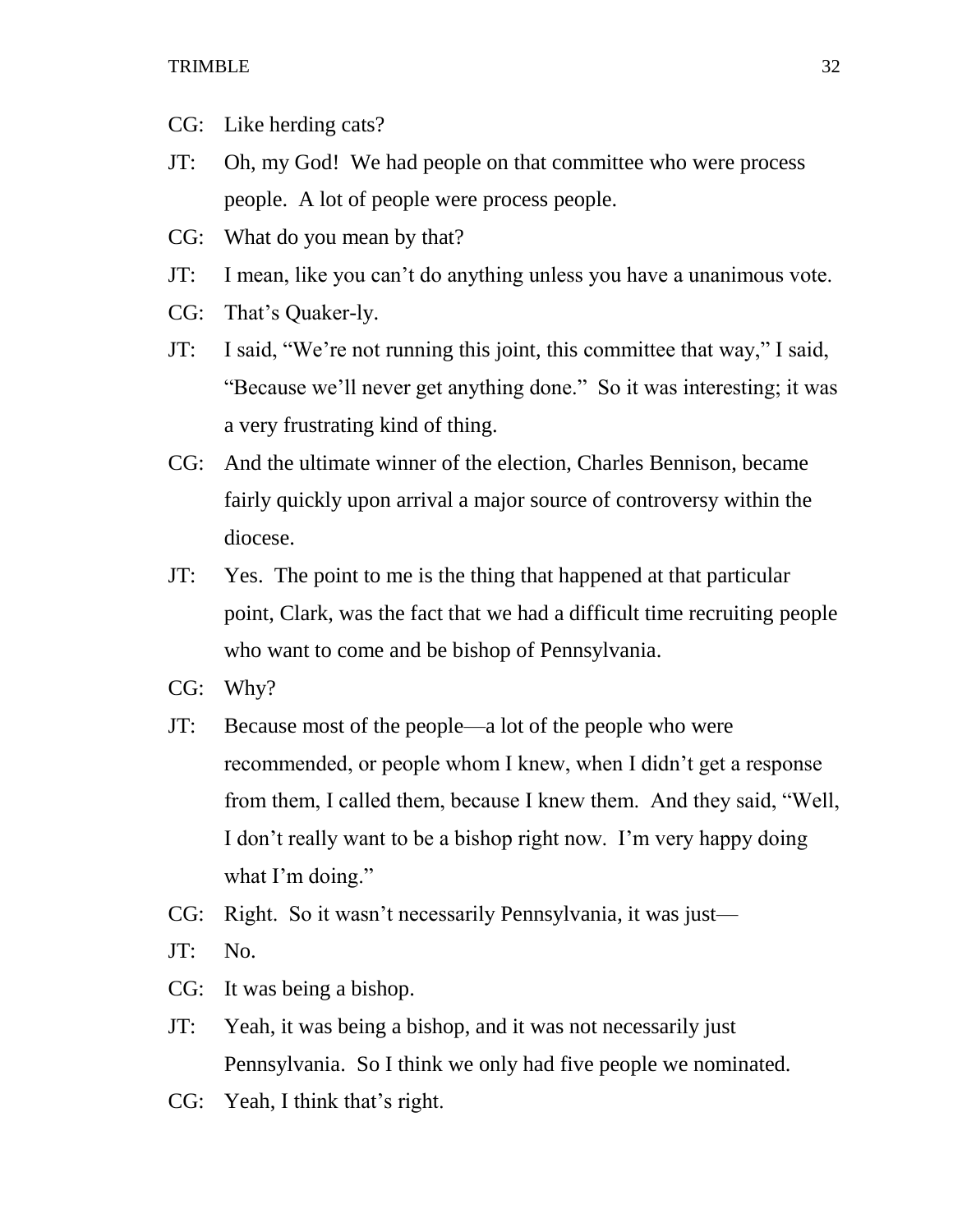- CG: Like herding cats?
- JT: Oh, my God! We had people on that committee who were process people. A lot of people were process people.
- CG: What do you mean by that?
- JT: I mean, like you can't do anything unless you have a unanimous vote.
- CG: That's Quaker-ly.
- JT: I said, "We're not running this joint, this committee that way," I said, "Because we'll never get anything done." So it was interesting; it was a very frustrating kind of thing.
- CG: And the ultimate winner of the election, Charles Bennison, became fairly quickly upon arrival a major source of controversy within the diocese.
- JT: Yes. The point to me is the thing that happened at that particular point, Clark, was the fact that we had a difficult time recruiting people who want to come and be bishop of Pennsylvania.
- CG: Why?
- JT: Because most of the people—a lot of the people who were recommended, or people whom I knew, when I didn't get a response from them, I called them, because I knew them. And they said, "Well, I don't really want to be a bishop right now. I'm very happy doing what I'm doing."
- CG: Right. So it wasn't necessarily Pennsylvania, it was just—
- JT: No.
- CG: It was being a bishop.
- JT: Yeah, it was being a bishop, and it was not necessarily just Pennsylvania. So I think we only had five people we nominated.
- CG: Yeah, I think that's right.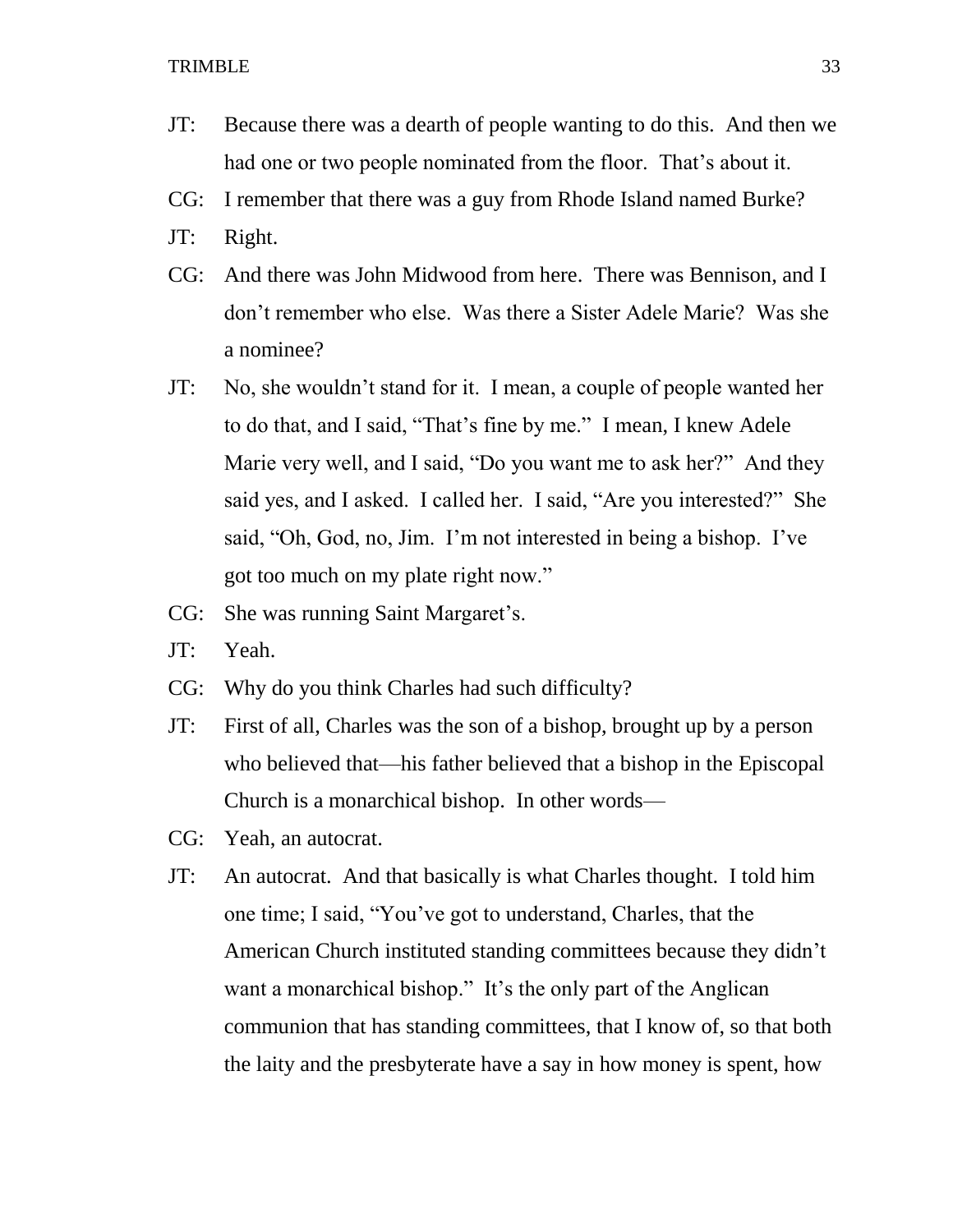- JT: Because there was a dearth of people wanting to do this. And then we had one or two people nominated from the floor. That's about it.
- CG: I remember that there was a guy from Rhode Island named Burke?
- JT: Right.
- CG: And there was John Midwood from here. There was Bennison, and I don't remember who else. Was there a Sister Adele Marie? Was she a nominee?
- JT: No, she wouldn't stand for it. I mean, a couple of people wanted her to do that, and I said, "That's fine by me." I mean, I knew Adele Marie very well, and I said, "Do you want me to ask her?" And they said yes, and I asked. I called her. I said, "Are you interested?" She said, "Oh, God, no, Jim. I'm not interested in being a bishop. I've got too much on my plate right now."
- CG: She was running Saint Margaret's.
- JT: Yeah.
- CG: Why do you think Charles had such difficulty?
- JT: First of all, Charles was the son of a bishop, brought up by a person who believed that—his father believed that a bishop in the Episcopal Church is a monarchical bishop. In other words—
- CG: Yeah, an autocrat.
- JT: An autocrat. And that basically is what Charles thought. I told him one time; I said, "You've got to understand, Charles, that the American Church instituted standing committees because they didn't want a monarchical bishop." It's the only part of the Anglican communion that has standing committees, that I know of, so that both the laity and the presbyterate have a say in how money is spent, how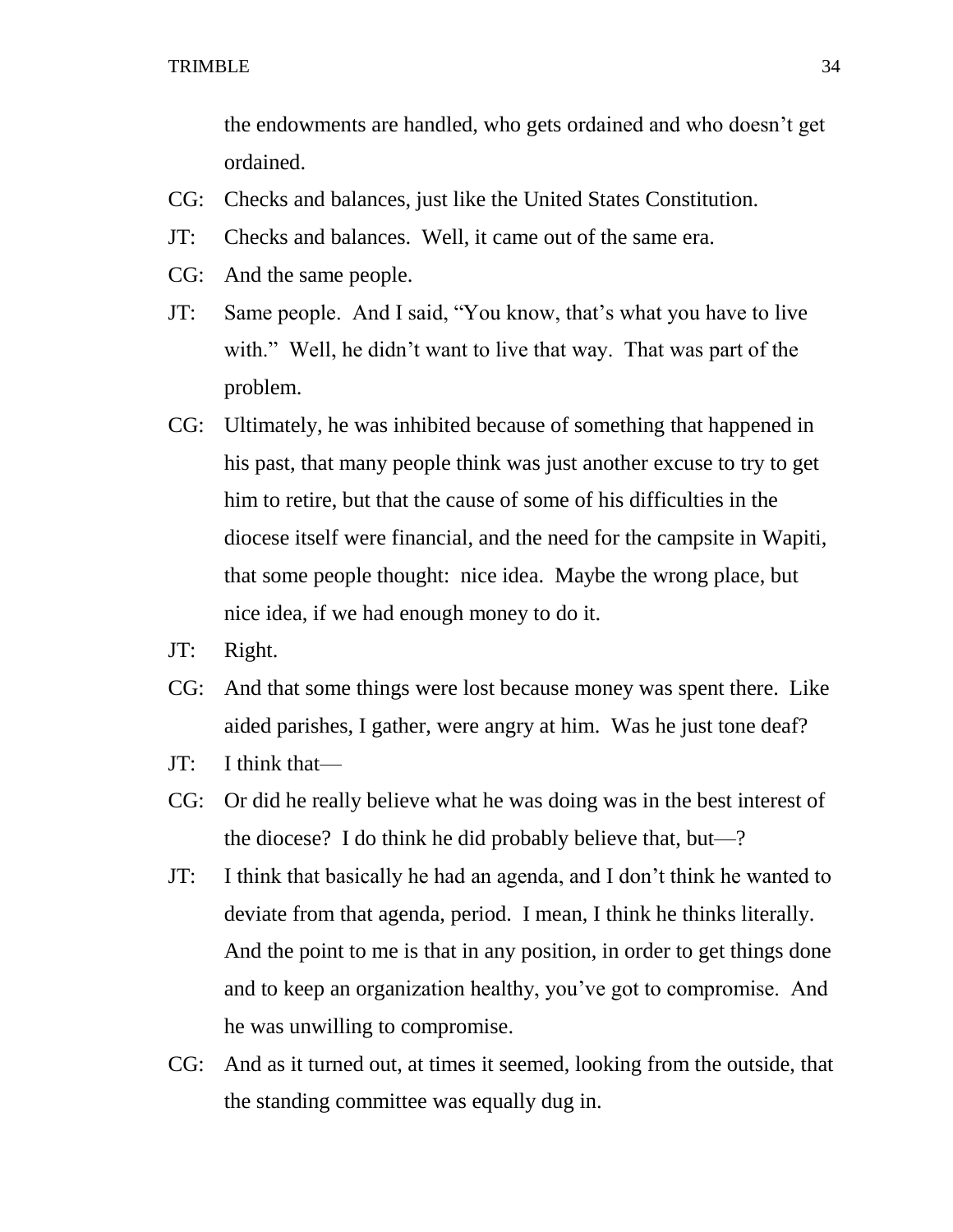the endowments are handled, who gets ordained and who doesn't get ordained.

- CG: Checks and balances, just like the United States Constitution.
- JT: Checks and balances. Well, it came out of the same era.
- CG: And the same people.
- JT: Same people. And I said, "You know, that's what you have to live with." Well, he didn't want to live that way. That was part of the problem.
- CG: Ultimately, he was inhibited because of something that happened in his past, that many people think was just another excuse to try to get him to retire, but that the cause of some of his difficulties in the diocese itself were financial, and the need for the campsite in Wapiti, that some people thought: nice idea. Maybe the wrong place, but nice idea, if we had enough money to do it.
- JT: Right.
- CG: And that some things were lost because money was spent there. Like aided parishes, I gather, were angry at him. Was he just tone deaf?
- JT: I think that—
- CG: Or did he really believe what he was doing was in the best interest of the diocese? I do think he did probably believe that, but—?
- JT: I think that basically he had an agenda, and I don't think he wanted to deviate from that agenda, period. I mean, I think he thinks literally. And the point to me is that in any position, in order to get things done and to keep an organization healthy, you've got to compromise. And he was unwilling to compromise.
- CG: And as it turned out, at times it seemed, looking from the outside, that the standing committee was equally dug in.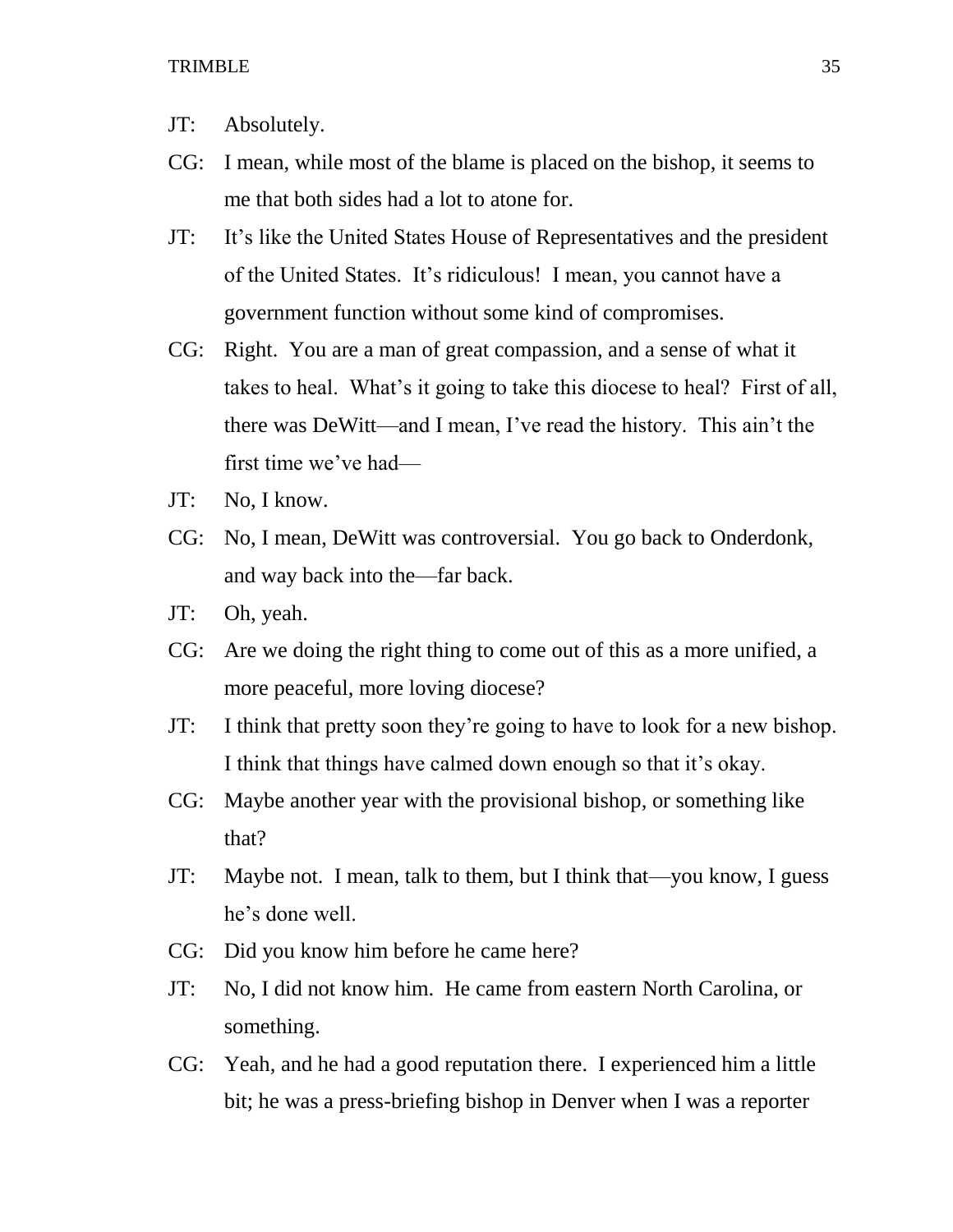- JT: Absolutely.
- CG: I mean, while most of the blame is placed on the bishop, it seems to me that both sides had a lot to atone for.
- JT: It's like the United States House of Representatives and the president of the United States. It's ridiculous! I mean, you cannot have a government function without some kind of compromises.
- CG: Right. You are a man of great compassion, and a sense of what it takes to heal. What's it going to take this diocese to heal? First of all, there was DeWitt—and I mean, I've read the history. This ain't the first time we've had—
- JT: No, I know.
- CG: No, I mean, DeWitt was controversial. You go back to Onderdonk, and way back into the—far back.
- JT: Oh, yeah.
- CG: Are we doing the right thing to come out of this as a more unified, a more peaceful, more loving diocese?
- JT: I think that pretty soon they're going to have to look for a new bishop. I think that things have calmed down enough so that it's okay.
- CG: Maybe another year with the provisional bishop, or something like that?
- JT: Maybe not. I mean, talk to them, but I think that—you know, I guess he's done well.
- CG: Did you know him before he came here?
- JT: No, I did not know him. He came from eastern North Carolina, or something.
- CG: Yeah, and he had a good reputation there. I experienced him a little bit; he was a press-briefing bishop in Denver when I was a reporter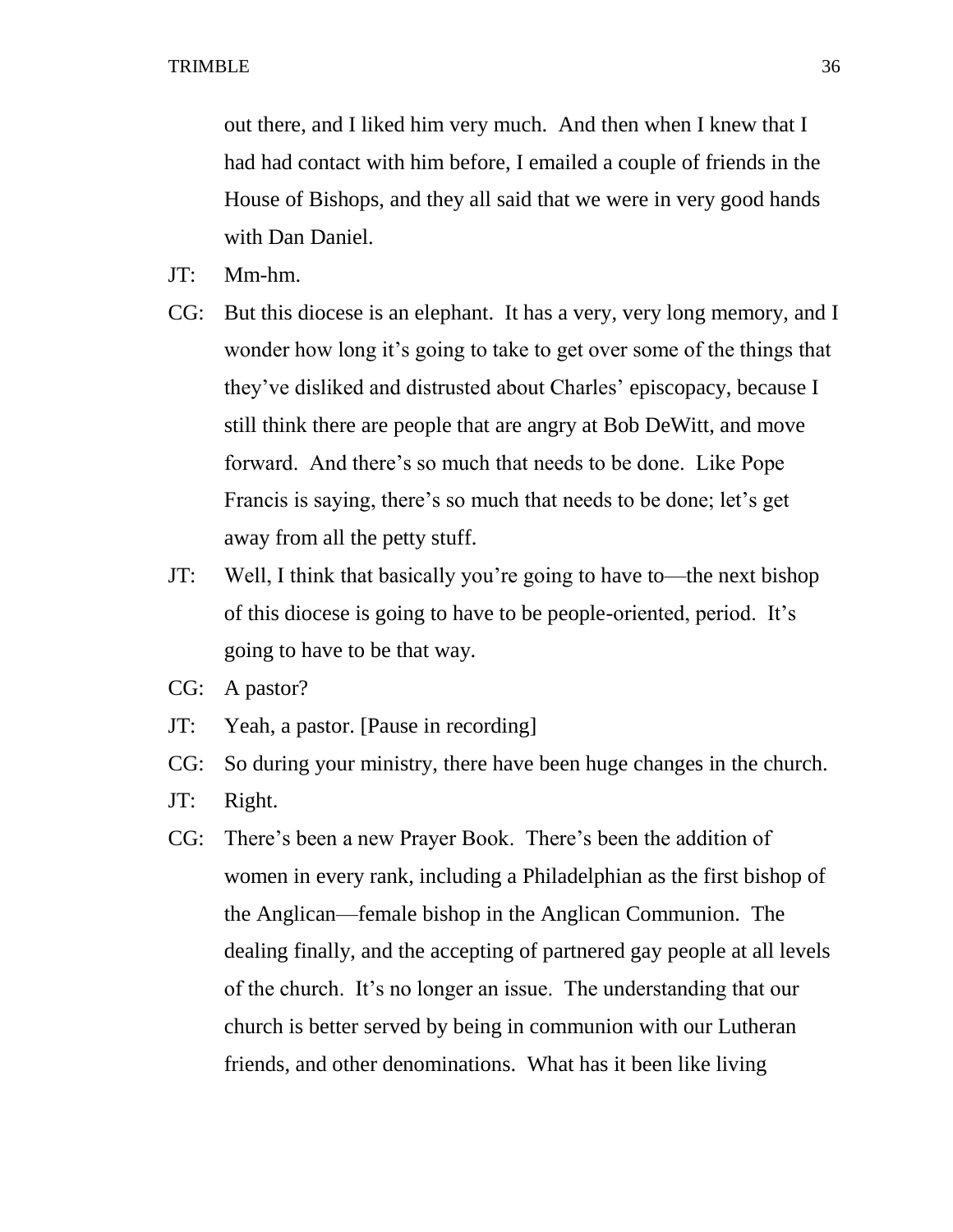out there, and I liked him very much. And then when I knew that I had had contact with him before, I emailed a couple of friends in the House of Bishops, and they all said that we were in very good hands with Dan Daniel.

- JT: Mm-hm.
- CG: But this diocese is an elephant. It has a very, very long memory, and I wonder how long it's going to take to get over some of the things that they've disliked and distrusted about Charles' episcopacy, because I still think there are people that are angry at Bob DeWitt, and move forward. And there's so much that needs to be done. Like Pope Francis is saying, there's so much that needs to be done; let's get away from all the petty stuff.
- JT: Well, I think that basically you're going to have to—the next bishop of this diocese is going to have to be people-oriented, period. It's going to have to be that way.
- CG: A pastor?
- JT: Yeah, a pastor. [Pause in recording]
- CG: So during your ministry, there have been huge changes in the church.
- JT: Right.
- CG: There's been a new Prayer Book. There's been the addition of women in every rank, including a Philadelphian as the first bishop of the Anglican—female bishop in the Anglican Communion. The dealing finally, and the accepting of partnered gay people at all levels of the church. It's no longer an issue. The understanding that our church is better served by being in communion with our Lutheran friends, and other denominations. What has it been like living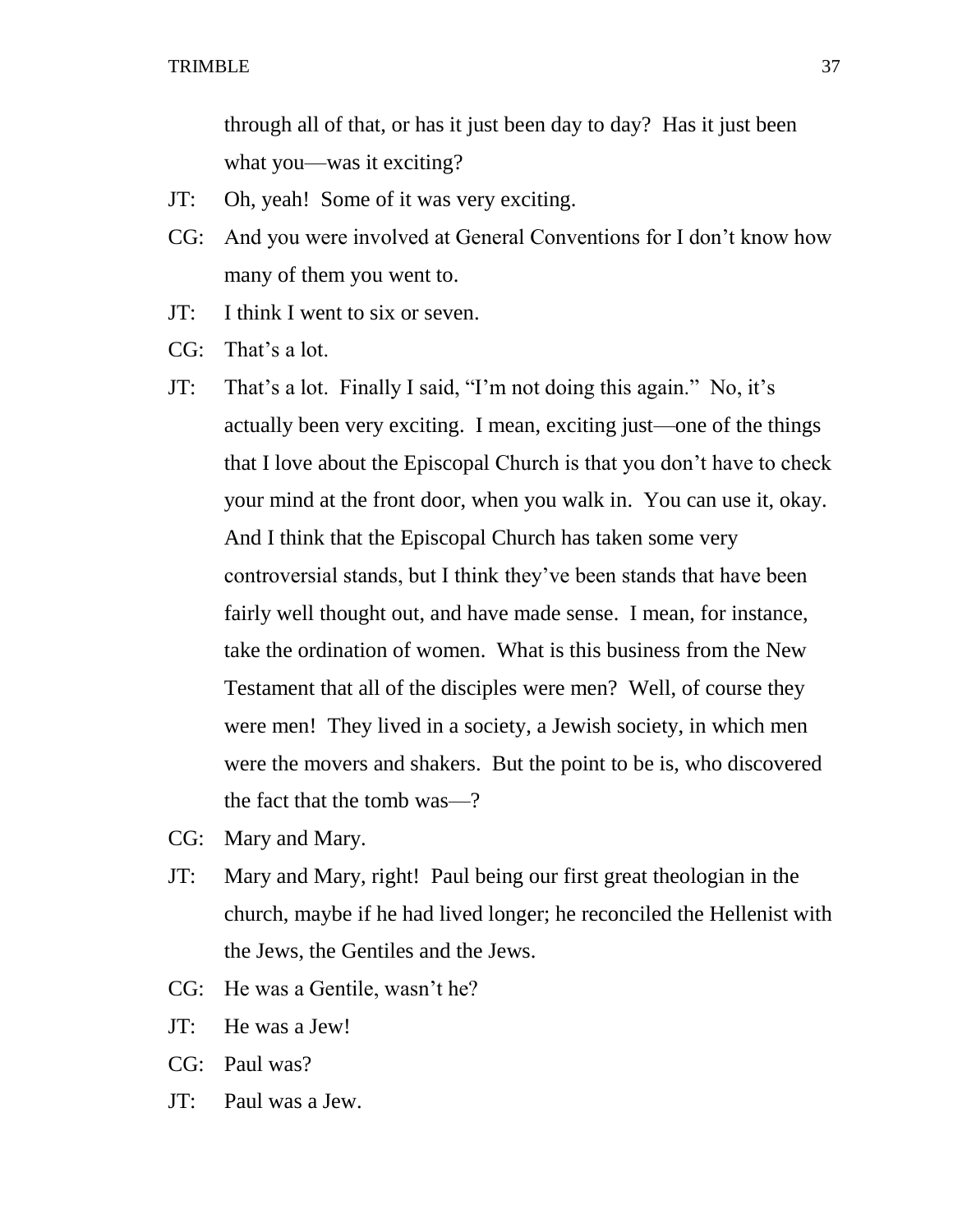through all of that, or has it just been day to day? Has it just been what you—was it exciting?

- JT: Oh, yeah! Some of it was very exciting.
- CG: And you were involved at General Conventions for I don't know how many of them you went to.
- JT: I think I went to six or seven.
- CG: That's a lot.
- JT: That's a lot. Finally I said, "I'm not doing this again." No, it's actually been very exciting. I mean, exciting just—one of the things that I love about the Episcopal Church is that you don't have to check your mind at the front door, when you walk in. You can use it, okay. And I think that the Episcopal Church has taken some very controversial stands, but I think they've been stands that have been fairly well thought out, and have made sense. I mean, for instance, take the ordination of women. What is this business from the New Testament that all of the disciples were men? Well, of course they were men! They lived in a society, a Jewish society, in which men were the movers and shakers. But the point to be is, who discovered the fact that the tomb was—?
- CG: Mary and Mary.
- JT: Mary and Mary, right! Paul being our first great theologian in the church, maybe if he had lived longer; he reconciled the Hellenist with the Jews, the Gentiles and the Jews.
- CG: He was a Gentile, wasn't he?
- JT: He was a Jew!
- CG: Paul was?
- JT: Paul was a Jew.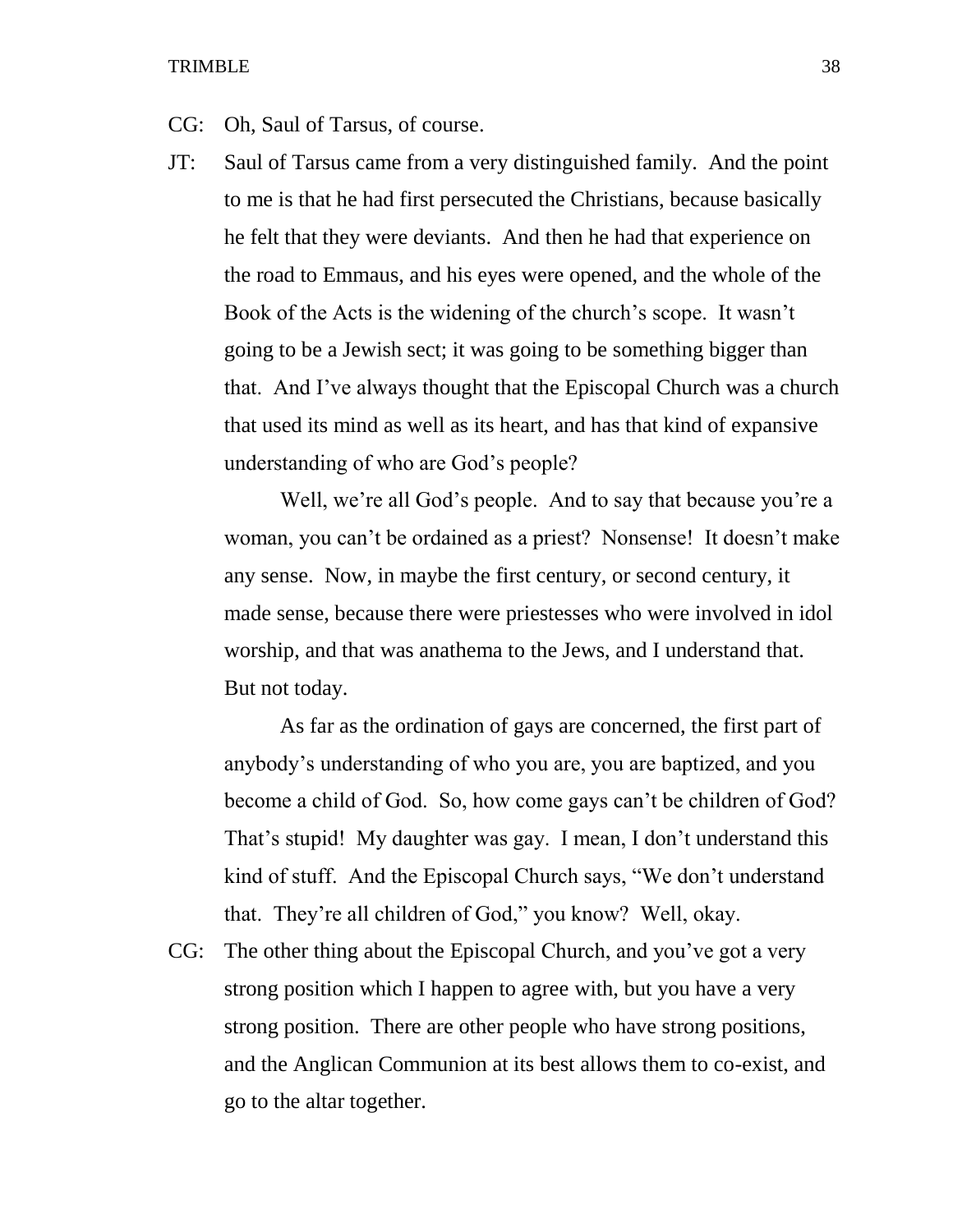- CG: Oh, Saul of Tarsus, of course.
- JT: Saul of Tarsus came from a very distinguished family. And the point to me is that he had first persecuted the Christians, because basically he felt that they were deviants. And then he had that experience on the road to Emmaus, and his eyes were opened, and the whole of the Book of the Acts is the widening of the church's scope. It wasn't going to be a Jewish sect; it was going to be something bigger than that. And I've always thought that the Episcopal Church was a church that used its mind as well as its heart, and has that kind of expansive understanding of who are God's people?

Well, we're all God's people. And to say that because you're a woman, you can't be ordained as a priest? Nonsense! It doesn't make any sense. Now, in maybe the first century, or second century, it made sense, because there were priestesses who were involved in idol worship, and that was anathema to the Jews, and I understand that. But not today.

As far as the ordination of gays are concerned, the first part of anybody's understanding of who you are, you are baptized, and you become a child of God. So, how come gays can't be children of God? That's stupid! My daughter was gay. I mean, I don't understand this kind of stuff. And the Episcopal Church says, "We don't understand that. They're all children of God," you know? Well, okay.

CG: The other thing about the Episcopal Church, and you've got a very strong position which I happen to agree with, but you have a very strong position. There are other people who have strong positions, and the Anglican Communion at its best allows them to co-exist, and go to the altar together.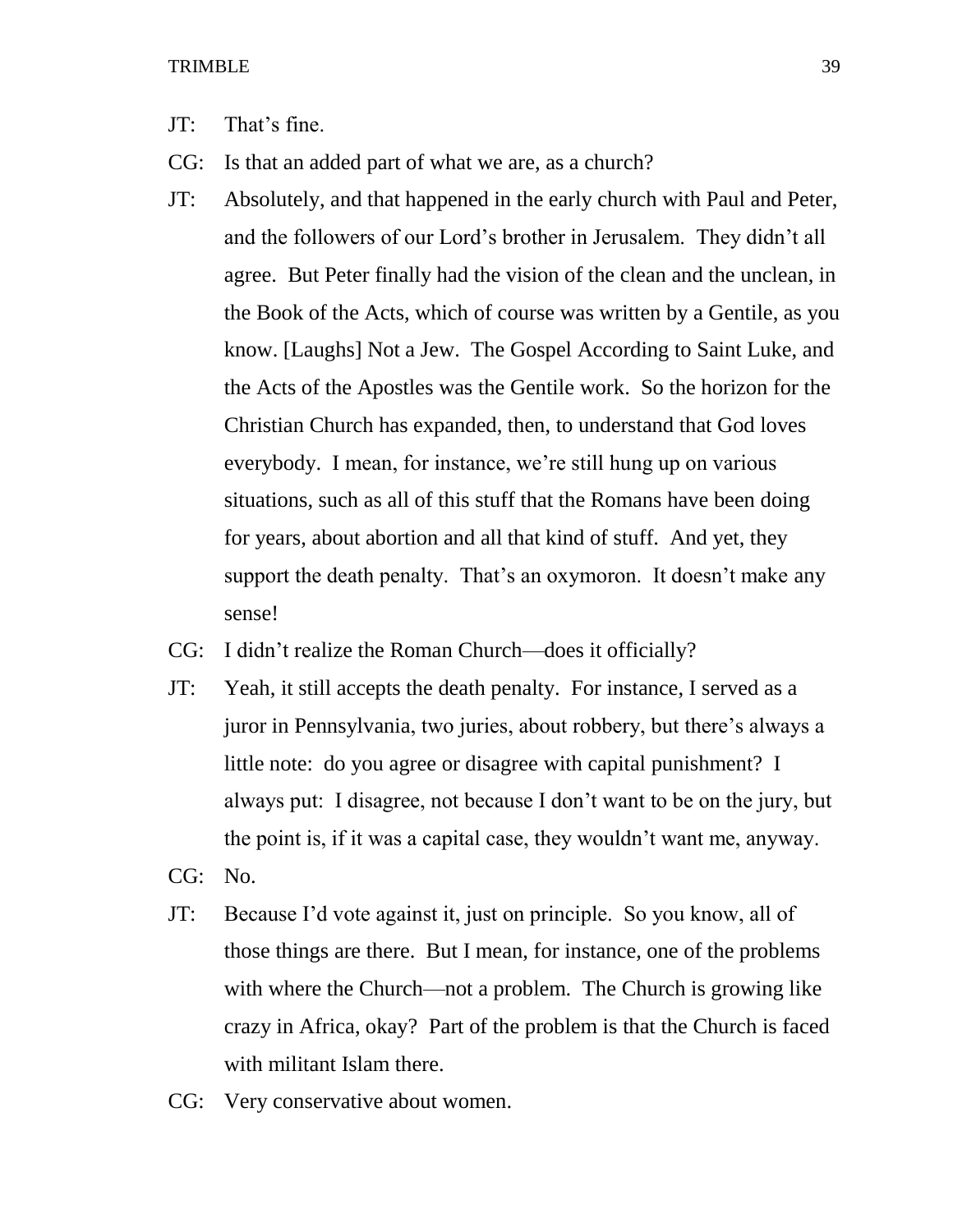- JT: That's fine.
- CG: Is that an added part of what we are, as a church?
- JT: Absolutely, and that happened in the early church with Paul and Peter, and the followers of our Lord's brother in Jerusalem. They didn't all agree. But Peter finally had the vision of the clean and the unclean, in the Book of the Acts, which of course was written by a Gentile, as you know. [Laughs] Not a Jew. The Gospel According to Saint Luke, and the Acts of the Apostles was the Gentile work. So the horizon for the Christian Church has expanded, then, to understand that God loves everybody. I mean, for instance, we're still hung up on various situations, such as all of this stuff that the Romans have been doing for years, about abortion and all that kind of stuff. And yet, they support the death penalty. That's an oxymoron. It doesn't make any sense!
- CG: I didn't realize the Roman Church—does it officially?
- JT: Yeah, it still accepts the death penalty. For instance, I served as a juror in Pennsylvania, two juries, about robbery, but there's always a little note: do you agree or disagree with capital punishment? I always put: I disagree, not because I don't want to be on the jury, but the point is, if it was a capital case, they wouldn't want me, anyway.
- CG: No.
- JT: Because I'd vote against it, just on principle. So you know, all of those things are there. But I mean, for instance, one of the problems with where the Church—not a problem. The Church is growing like crazy in Africa, okay? Part of the problem is that the Church is faced with militant Islam there.
- CG: Very conservative about women.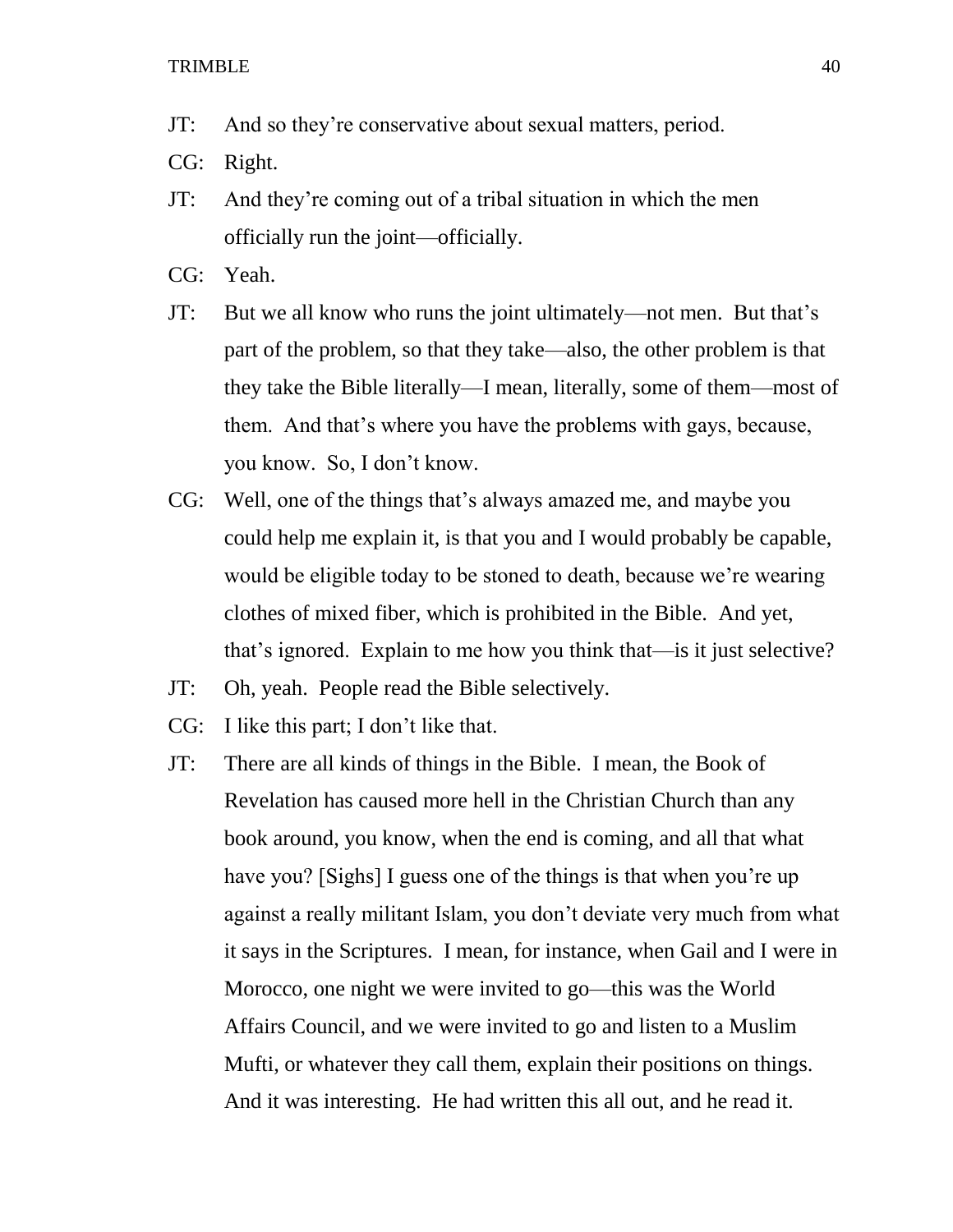- JT: And so they're conservative about sexual matters, period.
- CG: Right.
- JT: And they're coming out of a tribal situation in which the men officially run the joint—officially.
- CG: Yeah.
- JT: But we all know who runs the joint ultimately—not men. But that's part of the problem, so that they take—also, the other problem is that they take the Bible literally—I mean, literally, some of them—most of them. And that's where you have the problems with gays, because, you know. So, I don't know.
- CG: Well, one of the things that's always amazed me, and maybe you could help me explain it, is that you and I would probably be capable, would be eligible today to be stoned to death, because we're wearing clothes of mixed fiber, which is prohibited in the Bible. And yet, that's ignored. Explain to me how you think that—is it just selective?
- JT: Oh, yeah. People read the Bible selectively.
- CG: I like this part; I don't like that.
- JT: There are all kinds of things in the Bible. I mean, the Book of Revelation has caused more hell in the Christian Church than any book around, you know, when the end is coming, and all that what have you? [Sighs] I guess one of the things is that when you're up against a really militant Islam, you don't deviate very much from what it says in the Scriptures. I mean, for instance, when Gail and I were in Morocco, one night we were invited to go—this was the World Affairs Council, and we were invited to go and listen to a Muslim Mufti, or whatever they call them, explain their positions on things. And it was interesting. He had written this all out, and he read it.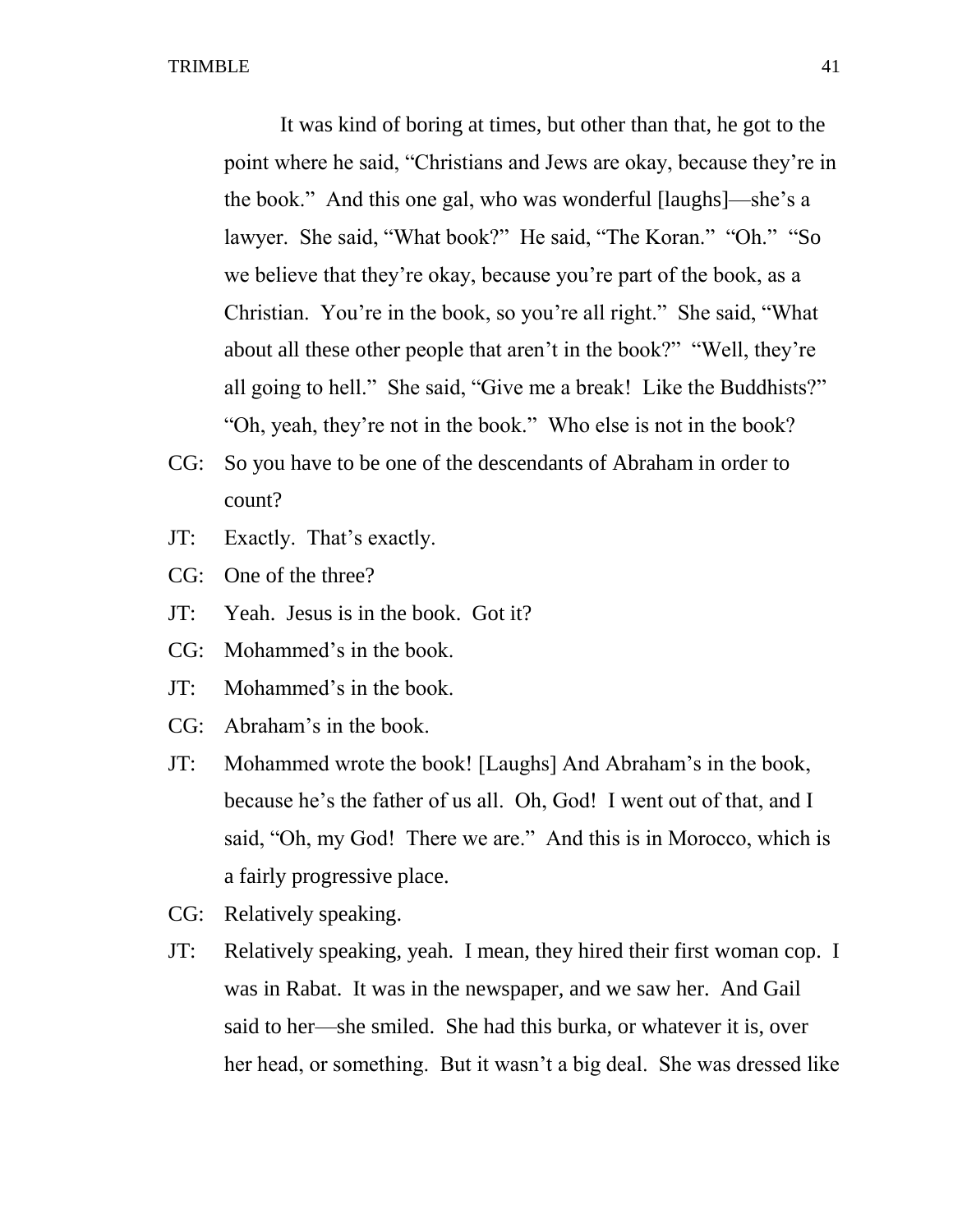It was kind of boring at times, but other than that, he got to the point where he said, "Christians and Jews are okay, because they're in the book." And this one gal, who was wonderful [laughs]—she's a lawyer. She said, "What book?" He said, "The Koran." "Oh." "So we believe that they're okay, because you're part of the book, as a Christian. You're in the book, so you're all right." She said, "What about all these other people that aren't in the book?" "Well, they're all going to hell." She said, "Give me a break! Like the Buddhists?" "Oh, yeah, they're not in the book." Who else is not in the book?

- CG: So you have to be one of the descendants of Abraham in order to count?
- JT: Exactly. That's exactly.
- CG: One of the three?
- JT: Yeah. Jesus is in the book. Got it?
- CG: Mohammed's in the book.
- JT: Mohammed's in the book.
- CG: Abraham's in the book.
- JT: Mohammed wrote the book! [Laughs] And Abraham's in the book, because he's the father of us all. Oh, God! I went out of that, and I said, "Oh, my God! There we are." And this is in Morocco, which is a fairly progressive place.
- CG: Relatively speaking.
- JT: Relatively speaking, yeah. I mean, they hired their first woman cop. I was in Rabat. It was in the newspaper, and we saw her. And Gail said to her—she smiled. She had this burka, or whatever it is, over her head, or something. But it wasn't a big deal. She was dressed like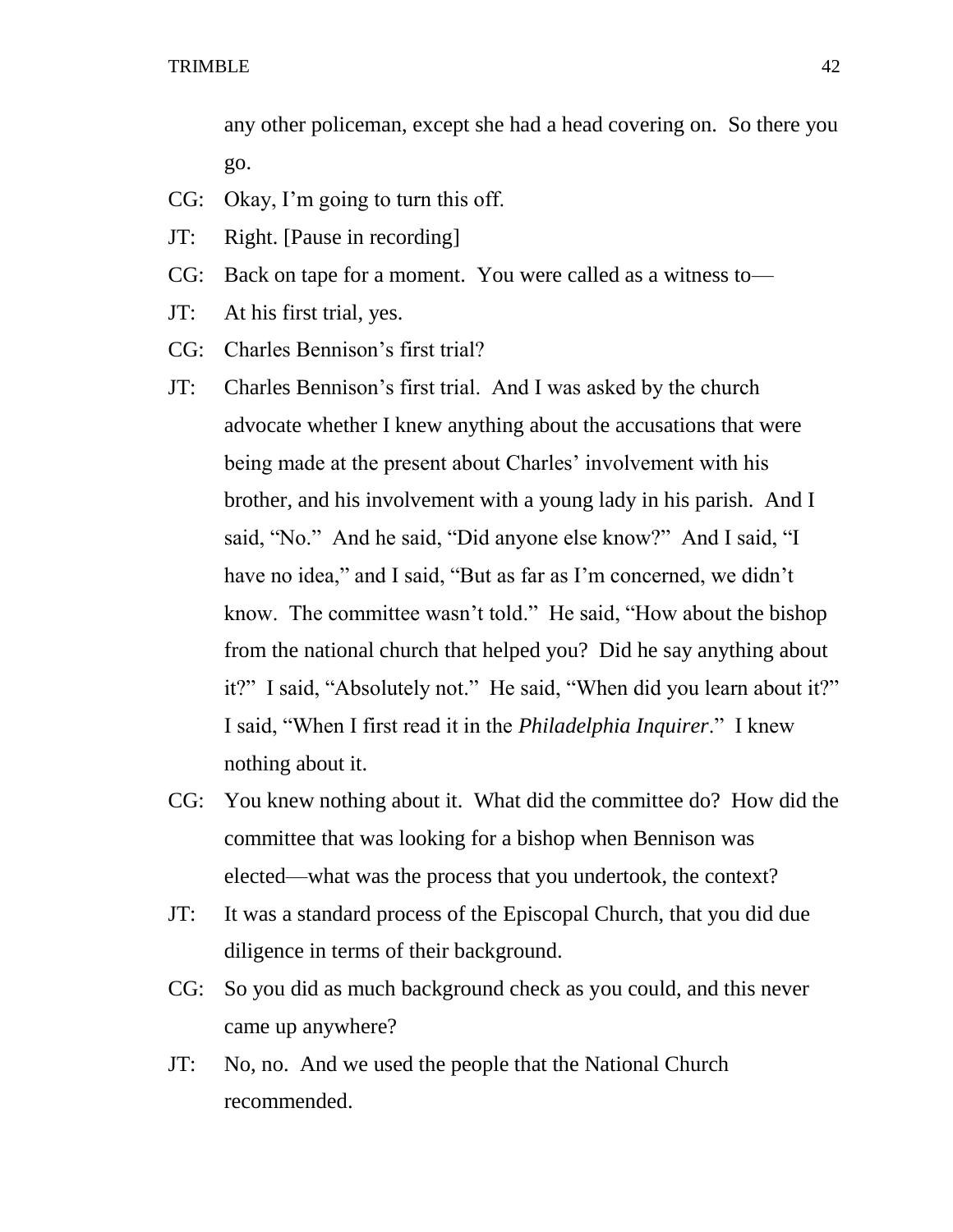any other policeman, except she had a head covering on. So there you go.

- CG: Okay, I'm going to turn this off.
- JT: Right. [Pause in recording]
- CG: Back on tape for a moment. You were called as a witness to—
- JT: At his first trial, yes.
- CG: Charles Bennison's first trial?
- JT: Charles Bennison's first trial. And I was asked by the church advocate whether I knew anything about the accusations that were being made at the present about Charles' involvement with his brother, and his involvement with a young lady in his parish. And I said, "No." And he said, "Did anyone else know?" And I said, "I have no idea," and I said, "But as far as I'm concerned, we didn't know. The committee wasn't told." He said, "How about the bishop from the national church that helped you? Did he say anything about it?" I said, "Absolutely not." He said, "When did you learn about it?" I said, "When I first read it in the *Philadelphia Inquirer*." I knew nothing about it.
- CG: You knew nothing about it. What did the committee do? How did the committee that was looking for a bishop when Bennison was elected—what was the process that you undertook, the context?
- JT: It was a standard process of the Episcopal Church, that you did due diligence in terms of their background.
- CG: So you did as much background check as you could, and this never came up anywhere?
- JT: No, no. And we used the people that the National Church recommended.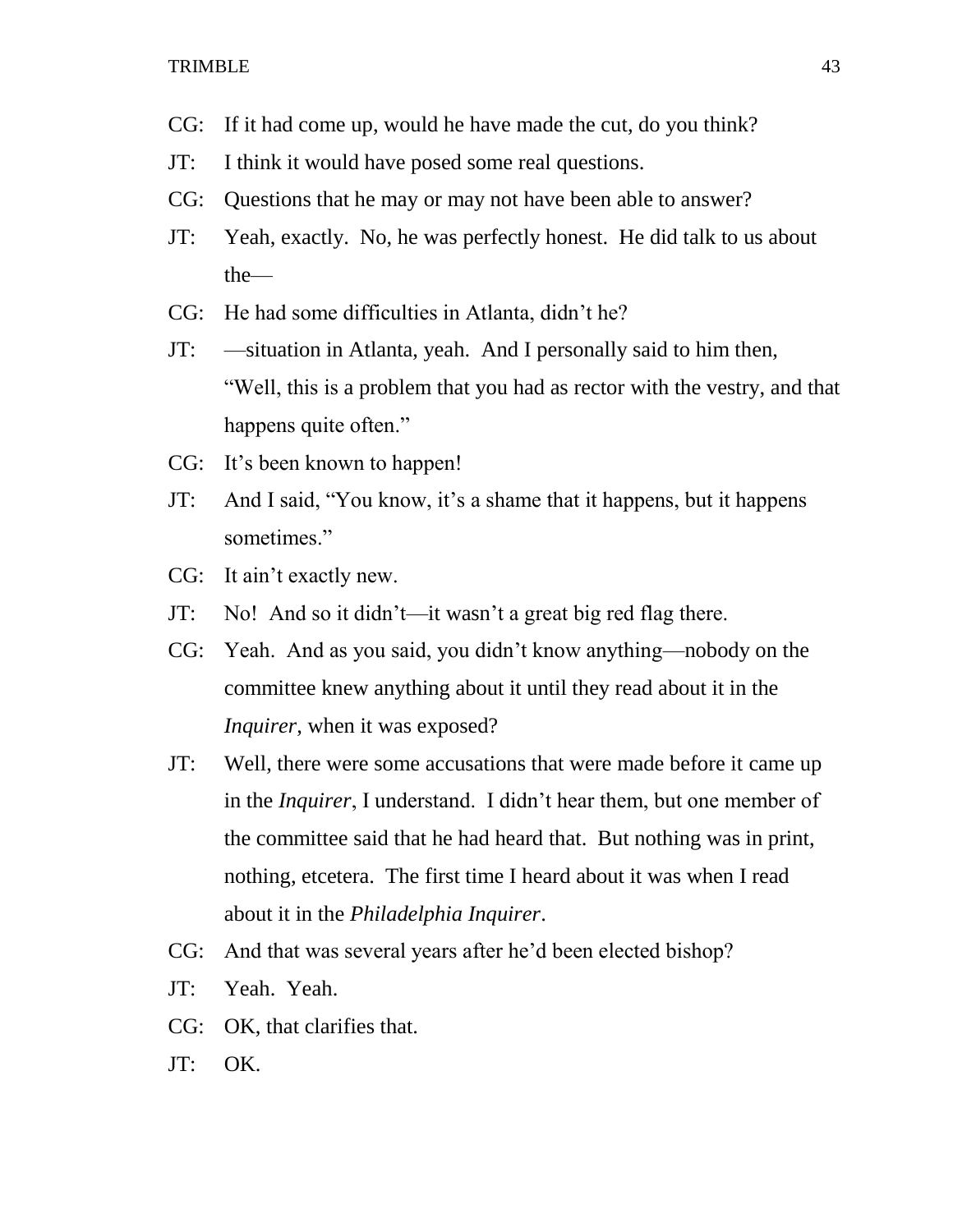- CG: If it had come up, would he have made the cut, do you think?
- JT: I think it would have posed some real questions.
- CG: Questions that he may or may not have been able to answer?
- JT: Yeah, exactly. No, he was perfectly honest. He did talk to us about the—
- CG: He had some difficulties in Atlanta, didn't he?
- JT: —situation in Atlanta, yeah. And I personally said to him then, "Well, this is a problem that you had as rector with the vestry, and that happens quite often."
- CG: It's been known to happen!
- JT: And I said, "You know, it's a shame that it happens, but it happens sometimes."
- CG: It ain't exactly new.
- JT: No! And so it didn't—it wasn't a great big red flag there.
- CG: Yeah. And as you said, you didn't know anything—nobody on the committee knew anything about it until they read about it in the *Inquirer*, when it was exposed?
- JT: Well, there were some accusations that were made before it came up in the *Inquirer*, I understand. I didn't hear them, but one member of the committee said that he had heard that. But nothing was in print, nothing, etcetera. The first time I heard about it was when I read about it in the *Philadelphia Inquirer*.
- CG: And that was several years after he'd been elected bishop?
- JT: Yeah. Yeah.
- CG: OK, that clarifies that.
- JT: OK.